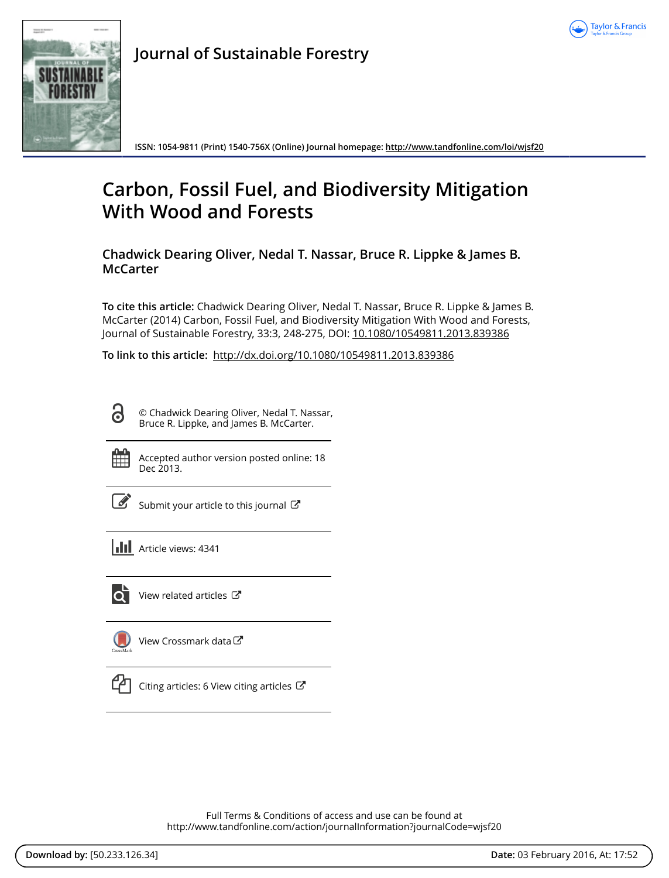



**Journal of Sustainable Forestry**

**ISSN: 1054-9811 (Print) 1540-756X (Online) Journal homepage: <http://www.tandfonline.com/loi/wjsf20>**

# **Carbon, Fossil Fuel, and Biodiversity Mitigation With Wood and Forests**

**Chadwick Dearing Oliver, Nedal T. Nassar, Bruce R. Lippke & James B. McCarter**

**To cite this article:** Chadwick Dearing Oliver, Nedal T. Nassar, Bruce R. Lippke & James B. McCarter (2014) Carbon, Fossil Fuel, and Biodiversity Mitigation With Wood and Forests, Journal of Sustainable Forestry, 33:3, 248-275, DOI: [10.1080/10549811.2013.839386](http://www.tandfonline.com/action/showCitFormats?doi=10.1080/10549811.2013.839386)

**To link to this article:** <http://dx.doi.org/10.1080/10549811.2013.839386>

႕ © Chadwick Dearing Oliver, Nedal T. Nassar, Bruce R. Lippke, and James B. McCarter.

Accepted author version posted online: 18 Dec 2013.

[Submit your article to this journal](http://www.tandfonline.com/action/authorSubmission?journalCode=wjsf20&page=instructions)  $\mathbb{Z}$ 

| <b>III</b> Article views: 4341 |
|--------------------------------|
|                                |

ldi

[View related articles](http://www.tandfonline.com/doi/mlt/10.1080/10549811.2013.839386) C



[View Crossmark data](http://crossmark.crossref.org/dialog/?doi=10.1080/10549811.2013.839386&domain=pdf&date_stamp=2013-12-18)



[Citing articles: 6 View citing articles](http://www.tandfonline.com/doi/citedby/10.1080/10549811.2013.839386#tabModule)  $\mathbb{Z}$ 

Full Terms & Conditions of access and use can be found at <http://www.tandfonline.com/action/journalInformation?journalCode=wjsf20>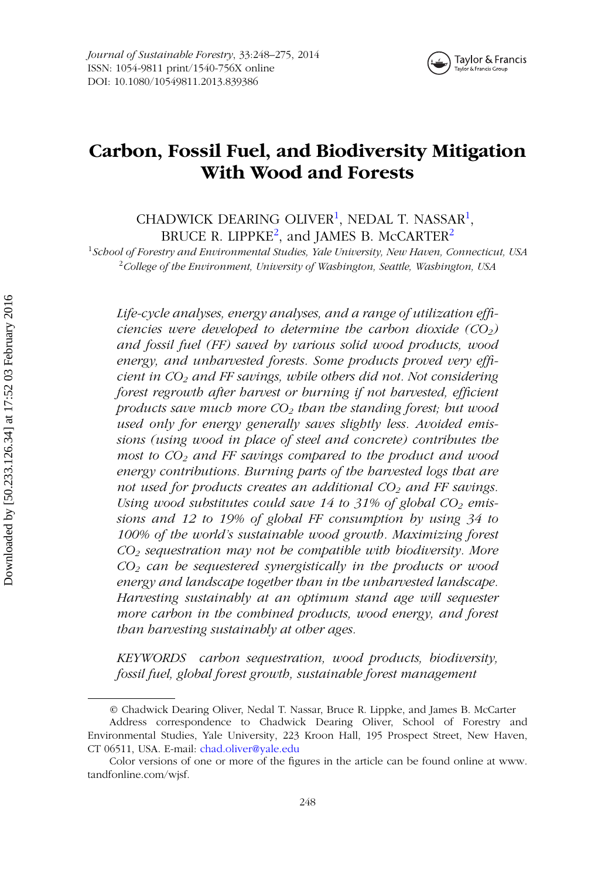<span id="page-1-0"></span>

## **Carbon, Fossil Fuel, and Biodiversity Mitigation With Wood and Forests**

CHADWICK DEARING OLIVER<sup>[1](#page-1-0)</sup>, NEDAL T. NASSAR<sup>1</sup>, BRUCE R. LIPPKE<sup>[2](#page-1-0)</sup>, and JAMES B. McCARTER<sup>2</sup>

<sup>1</sup>*School of Forestry and Environmental Studies, Yale University, New Haven, Connecticut, USA* <sup>2</sup>*College of the Environment, University of Washington, Seattle, Washington, USA*

*Life-cycle analyses, energy analyses, and a range of utilization efficiencies were developed to determine the carbon dioxide*  $(CO_2)$ *and fossil fuel (FF) saved by various solid wood products, wood energy, and unharvested forests. Some products proved very efficient in CO2 and FF savings, while others did not. Not considering forest regrowth after harvest or burning if not harvested, efficient products save much more CO2 than the standing forest; but wood used only for energy generally saves slightly less. Avoided emissions (using wood in place of steel and concrete) contributes the most to CO2 and FF savings compared to the product and wood energy contributions. Burning parts of the harvested logs that are* not used for products creates an additional CO<sub>2</sub> and FF savings. Using wood substitutes could save 14 to 31% of global CO<sub>2</sub> emis*sions and 12 to 19% of global FF consumption by using 34 to 100% of the world's sustainable wood growth. Maximizing forest CO2 sequestration may not be compatible with biodiversity. More CO2 can be sequestered synergistically in the products or wood energy and landscape together than in the unharvested landscape. Harvesting sustainably at an optimum stand age will sequester more carbon in the combined products, wood energy, and forest than harvesting sustainably at other ages.*

*KEYWORDS carbon sequestration, wood products, biodiversity, fossil fuel, global forest growth, sustainable forest management*

<sup>©</sup> Chadwick Dearing Oliver, Nedal T. Nassar, Bruce R. Lippke, and James B. McCarter Address correspondence to Chadwick Dearing Oliver, School of Forestry and Environmental Studies, Yale University, 223 Kroon Hall, 195 Prospect Street, New Haven, CT 06511, USA. E-mail: [chad.oliver@yale.edu](mailto:chad.oliver@yale.edu)

Color versions of one or more of the figures in the article can be found online at www. tandfonline.com/wjsf.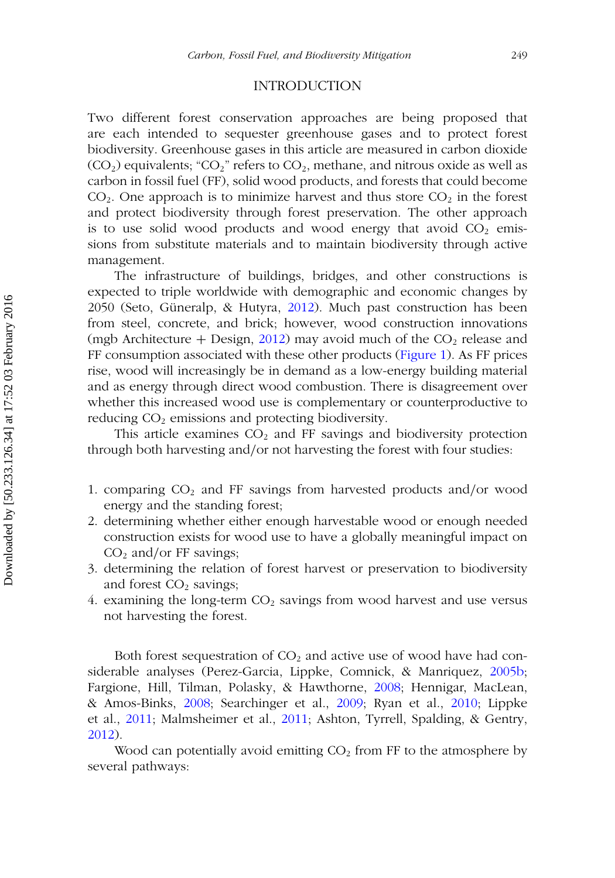## INTRODUCTION

Two different forest conservation approaches are being proposed that are each intended to sequester greenhouse gases and to protect forest biodiversity. Greenhouse gases in this article are measured in carbon dioxide  $(CO<sub>2</sub>)$  equivalents; "CO<sub>2</sub>" refers to CO<sub>2</sub>, methane, and nitrous oxide as well as carbon in fossil fuel (FF), solid wood products, and forests that could become  $CO<sub>2</sub>$ . One approach is to minimize harvest and thus store  $CO<sub>2</sub>$  in the forest and protect biodiversity through forest preservation. The other approach is to use solid wood products and wood energy that avoid  $CO<sub>2</sub>$  emissions from substitute materials and to maintain biodiversity through active management.

The infrastructure of buildings, bridges, and other constructions is expected to triple worldwide with demographic and economic changes by 2050 (Seto, Güneralp, & Hutyra, [2012\)](#page-28-0). Much past construction has been from steel, concrete, and brick; however, wood construction innovations (mgb Architecture + Design, [2012\)](#page-26-0) may avoid much of the  $CO<sub>2</sub>$  release and FF consumption associated with these other products [\(Figure 1\)](#page-3-0). As FF prices rise, wood will increasingly be in demand as a low-energy building material and as energy through direct wood combustion. There is disagreement over whether this increased wood use is complementary or counterproductive to reducing  $CO<sub>2</sub>$  emissions and protecting biodiversity.

This article examines  $CO<sub>2</sub>$  and FF savings and biodiversity protection through both harvesting and*/*or not harvesting the forest with four studies:

- 1. comparing CO2 and FF savings from harvested products and*/*or wood energy and the standing forest;
- 2. determining whether either enough harvestable wood or enough needed construction exists for wood use to have a globally meaningful impact on CO2 and*/*or FF savings;
- 3. determining the relation of forest harvest or preservation to biodiversity and forest  $CO<sub>2</sub>$  savings;
- 4. examining the long-term  $CO<sub>2</sub>$  savings from wood harvest and use versus not harvesting the forest.

Both forest sequestration of  $CO<sub>2</sub>$  and active use of wood have had considerable analyses (Perez-Garcia, Lippke, Comnick, & Manriquez, [2005b;](#page-27-0) Fargione, Hill, Tilman, Polasky, & Hawthorne, [2008;](#page-24-0) Hennigar, MacLean, & Amos-Binks, [2008;](#page-25-0) Searchinger et al., [2009;](#page-28-1) Ryan et al., [2010;](#page-28-2) Lippke et al., [2011;](#page-26-1) Malmsheimer et al., [2011;](#page-26-2) Ashton, Tyrrell, Spalding, & Gentry, [2012\)](#page-23-0).

Wood can potentially avoid emitting  $CO<sub>2</sub>$  from FF to the atmosphere by several pathways: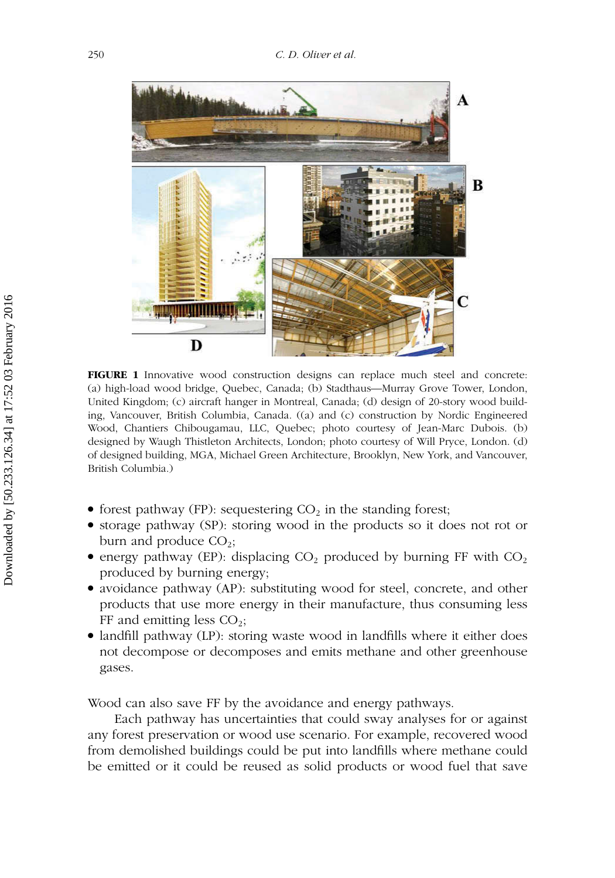<span id="page-3-0"></span>

**FIGURE 1** Innovative wood construction designs can replace much steel and concrete: (a) high-load wood bridge, Quebec, Canada; (b) Stadthaus—Murray Grove Tower, London, United Kingdom; (c) aircraft hanger in Montreal, Canada; (d) design of 20-story wood building, Vancouver, British Columbia, Canada. ((a) and (c) construction by Nordic Engineered Wood, Chantiers Chibougamau, LLC, Quebec; photo courtesy of Jean-Marc Dubois. (b) designed by Waugh Thistleton Architects, London; photo courtesy of Will Pryce, London. (d) of designed building, MGA, Michael Green Architecture, Brooklyn, New York, and Vancouver, British Columbia.)

- forest pathway (FP): sequestering  $CO<sub>2</sub>$  in the standing forest;
- storage pathway (SP): storing wood in the products so it does not rot or burn and produce  $CO<sub>2</sub>$ ;
- energy pathway (EP): displacing  $CO_2$  produced by burning FF with  $CO_2$ produced by burning energy;
- avoidance pathway (AP): substituting wood for steel, concrete, and other products that use more energy in their manufacture, thus consuming less FF and emitting less  $CO<sub>2</sub>$ ;
- landfill pathway (LP): storing waste wood in landfills where it either does not decompose or decomposes and emits methane and other greenhouse gases.

Wood can also save FF by the avoidance and energy pathways.

Each pathway has uncertainties that could sway analyses for or against any forest preservation or wood use scenario. For example, recovered wood from demolished buildings could be put into landfills where methane could be emitted or it could be reused as solid products or wood fuel that save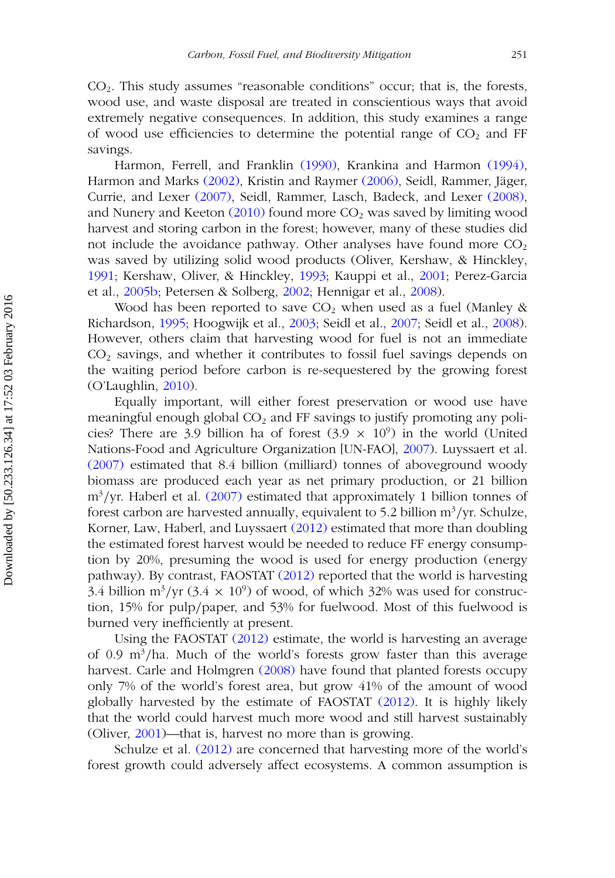$CO<sub>2</sub>$ . This study assumes "reasonable conditions" occur; that is, the forests, wood use, and waste disposal are treated in conscientious ways that avoid extremely negative consequences. In addition, this study examines a range of wood use efficiencies to determine the potential range of  $CO<sub>2</sub>$  and FF savings.

Harmon, Ferrell, and Franklin [\(1990\),](#page-25-1) Krankina and Harmon [\(1994\),](#page-25-2) Harmon and Marks [\(2002\),](#page-25-3) Kristin and Raymer [\(2006\),](#page-25-4) Seidl, Rammer, Jäger, Currie, and Lexer [\(2007\),](#page-28-3) Seidl, Rammer, Lasch, Badeck, and Lexer [\(2008\),](#page-28-4) and Nunery and Keeton  $(2010)$  found more  $CO<sub>2</sub>$  was saved by limiting wood harvest and storing carbon in the forest; however, many of these studies did not include the avoidance pathway. Other analyses have found more  $CO<sub>2</sub>$ was saved by utilizing solid wood products (Oliver, Kershaw, & Hinckley, [1991;](#page-27-1) Kershaw, Oliver, & Hinckley, [1993;](#page-25-5) Kauppi et al., [2001;](#page-25-6) Perez-Garcia et al., [2005b;](#page-27-0) Petersen & Solberg, [2002;](#page-27-2) Hennigar et al., [2008\)](#page-25-0).

Wood has been reported to save  $CO<sub>2</sub>$  when used as a fuel (Manley & Richardson, [1995;](#page-26-4) Hoogwijk et al., [2003;](#page-25-7) Seidl et al., [2007;](#page-28-3) Seidl et al., [2008\)](#page-28-4). However, others claim that harvesting wood for fuel is not an immediate  $CO<sub>2</sub>$  savings, and whether it contributes to fossil fuel savings depends on the waiting period before carbon is re-sequestered by the growing forest (O'Laughlin, [2010\)](#page-27-3).

Equally important, will either forest preservation or wood use have meaningful enough global  $CO<sub>2</sub>$  and FF savings to justify promoting any policies? There are 3.9 billion ha of forest  $(3.9 \times 10^9)$  in the world (United Nations-Food and Agriculture Organization [UN-FAO], [2007\)](#page-28-5). Luyssaert et al. [\(2007\)](#page-26-5) estimated that 8.4 billion (milliard) tonnes of aboveground woody biomass are produced each year as net primary production, or 21 billion m<sup>3</sup>/yr. Haberl et al. [\(2007\)](#page-25-8) estimated that approximately 1 billion tonnes of forest carbon are harvested annually, equivalent to 5.2 billion m3*/*yr. Schulze, Korner, Law, Haberl, and Luyssaert [\(2012\)](#page-28-6) estimated that more than doubling the estimated forest harvest would be needed to reduce FF energy consumption by 20%, presuming the wood is used for energy production (energy pathway). By contrast, FAOSTAT [\(2012\)](#page-24-1) reported that the world is harvesting 3.4 billion m<sup>3</sup>/yr (3.4  $\times$  10<sup>9</sup>) of wood, of which 32% was used for construction, 15% for pulp*/*paper, and 53% for fuelwood. Most of this fuelwood is burned very inefficiently at present.

Using the FAOSTAT [\(2012\)](#page-24-1) estimate, the world is harvesting an average of 0.9 m3*/*ha. Much of the world's forests grow faster than this average harvest. Carle and Holmgren [\(2008\)](#page-24-2) have found that planted forests occupy only 7% of the world's forest area, but grow 41% of the amount of wood globally harvested by the estimate of FAOSTAT [\(2012\).](#page-24-1) It is highly likely that the world could harvest much more wood and still harvest sustainably (Oliver, [2001\)](#page-27-4)—that is, harvest no more than is growing.

Schulze et al. [\(2012\)](#page-28-6) are concerned that harvesting more of the world's forest growth could adversely affect ecosystems. A common assumption is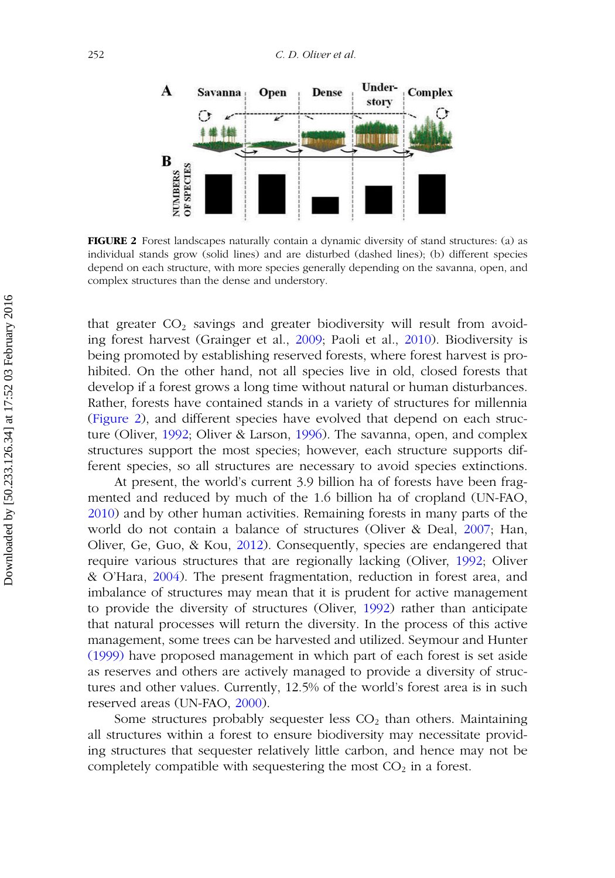<span id="page-5-0"></span>

**FIGURE 2** Forest landscapes naturally contain a dynamic diversity of stand structures: (a) as individual stands grow (solid lines) and are disturbed (dashed lines); (b) different species depend on each structure, with more species generally depending on the savanna, open, and complex structures than the dense and understory.

that greater  $CO<sub>2</sub>$  savings and greater biodiversity will result from avoiding forest harvest (Grainger et al., [2009;](#page-25-9) Paoli et al., [2010\)](#page-27-5). Biodiversity is being promoted by establishing reserved forests, where forest harvest is prohibited. On the other hand, not all species live in old, closed forests that develop if a forest grows a long time without natural or human disturbances. Rather, forests have contained stands in a variety of structures for millennia [\(Figure 2\)](#page-5-0), and different species have evolved that depend on each structure (Oliver, [1992;](#page-27-6) Oliver & Larson, [1996\)](#page-27-7). The savanna, open, and complex structures support the most species; however, each structure supports different species, so all structures are necessary to avoid species extinctions.

At present, the world's current 3.9 billion ha of forests have been fragmented and reduced by much of the 1.6 billion ha of cropland (UN-FAO, [2010\)](#page-28-7) and by other human activities. Remaining forests in many parts of the world do not contain a balance of structures (Oliver & Deal, [2007;](#page-27-8) Han, Oliver, Ge, Guo, & Kou, [2012\)](#page-25-10). Consequently, species are endangered that require various structures that are regionally lacking (Oliver, [1992;](#page-27-6) Oliver & O'Hara, [2004\)](#page-27-9). The present fragmentation, reduction in forest area, and imbalance of structures may mean that it is prudent for active management to provide the diversity of structures (Oliver, [1992\)](#page-27-6) rather than anticipate that natural processes will return the diversity. In the process of this active management, some trees can be harvested and utilized. Seymour and Hunter [\(1999\)](#page-28-8) have proposed management in which part of each forest is set aside as reserves and others are actively managed to provide a diversity of structures and other values. Currently, 12.5% of the world's forest area is in such reserved areas (UN-FAO, [2000\)](#page-28-9).

Some structures probably sequester less  $CO<sub>2</sub>$  than others. Maintaining all structures within a forest to ensure biodiversity may necessitate providing structures that sequester relatively little carbon, and hence may not be completely compatible with sequestering the most  $CO<sub>2</sub>$  in a forest.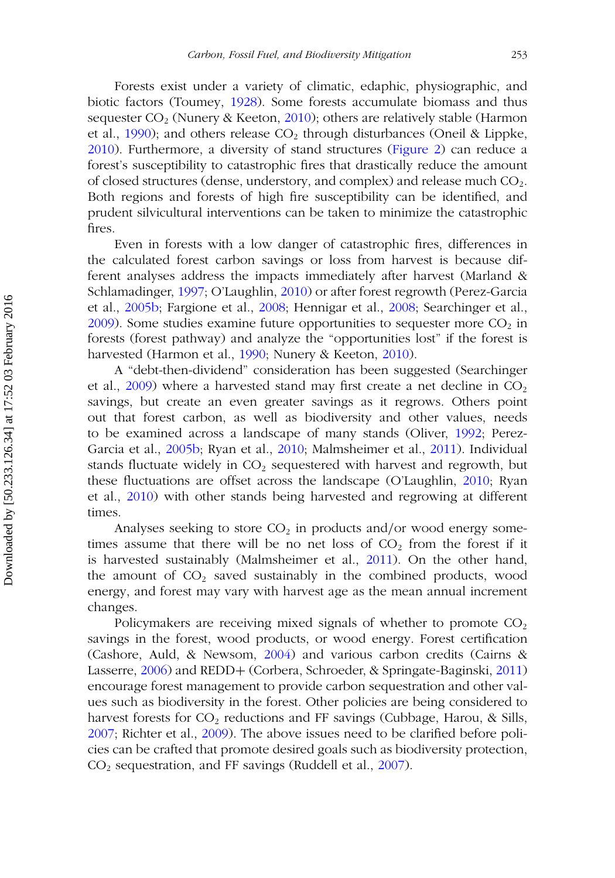Forests exist under a variety of climatic, edaphic, physiographic, and biotic factors (Toumey, [1928\)](#page-28-10). Some forests accumulate biomass and thus sequester  $CO<sub>2</sub>$  (Nunery & Keeton, [2010\)](#page-26-3); others are relatively stable (Harmon et al., [1990\)](#page-25-1); and others release  $CO<sub>2</sub>$  through disturbances (Oneil & Lippke, [2010\)](#page-27-10). Furthermore, a diversity of stand structures [\(Figure 2\)](#page-5-0) can reduce a forest's susceptibility to catastrophic fires that drastically reduce the amount of closed structures (dense, understory, and complex) and release much  $CO<sub>2</sub>$ . Both regions and forests of high fire susceptibility can be identified, and prudent silvicultural interventions can be taken to minimize the catastrophic fires.

Even in forests with a low danger of catastrophic fires, differences in the calculated forest carbon savings or loss from harvest is because different analyses address the impacts immediately after harvest (Marland & Schlamadinger, [1997;](#page-26-6) O'Laughlin, [2010\)](#page-27-3) or after forest regrowth (Perez-Garcia et al., [2005b;](#page-27-0) Fargione et al., [2008;](#page-24-0) Hennigar et al., [2008;](#page-25-0) Searchinger et al.,  $2009$ ). Some studies examine future opportunities to sequester more  $CO<sub>2</sub>$  in forests (forest pathway) and analyze the "opportunities lost" if the forest is harvested (Harmon et al., [1990;](#page-25-1) Nunery & Keeton, [2010\)](#page-26-3).

A "debt-then-dividend" consideration has been suggested (Searchinger et al., [2009\)](#page-28-1) where a harvested stand may first create a net decline in  $CO<sub>2</sub>$ savings, but create an even greater savings as it regrows. Others point out that forest carbon, as well as biodiversity and other values, needs to be examined across a landscape of many stands (Oliver, [1992;](#page-27-6) Perez-Garcia et al., [2005b;](#page-27-0) Ryan et al., [2010;](#page-28-2) Malmsheimer et al., [2011\)](#page-26-2). Individual stands fluctuate widely in  $CO<sub>2</sub>$  sequestered with harvest and regrowth, but these fluctuations are offset across the landscape (O'Laughlin, [2010;](#page-27-3) Ryan et al., [2010\)](#page-28-2) with other stands being harvested and regrowing at different times.

Analyses seeking to store CO<sub>2</sub> in products and/or wood energy sometimes assume that there will be no net loss of  $CO<sub>2</sub>$  from the forest if it is harvested sustainably (Malmsheimer et al., [2011\)](#page-26-2). On the other hand, the amount of  $CO<sub>2</sub>$  saved sustainably in the combined products, wood energy, and forest may vary with harvest age as the mean annual increment changes.

Policymakers are receiving mixed signals of whether to promote  $CO<sub>2</sub>$ savings in the forest, wood products, or wood energy. Forest certification (Cashore, Auld, & Newsom, [2004\)](#page-24-3) and various carbon credits (Cairns & Lasserre, [2006\)](#page-24-4) and REDD+ (Corbera, Schroeder, & Springate-Baginski, [2011\)](#page-24-5) encourage forest management to provide carbon sequestration and other values such as biodiversity in the forest. Other policies are being considered to harvest forests for  $CO<sub>2</sub>$  reductions and FF savings (Cubbage, Harou, & Sills, [2007;](#page-24-6) Richter et al., [2009\)](#page-27-11). The above issues need to be clarified before policies can be crafted that promote desired goals such as biodiversity protection, CO2 sequestration, and FF savings (Ruddell et al., [2007\)](#page-27-12).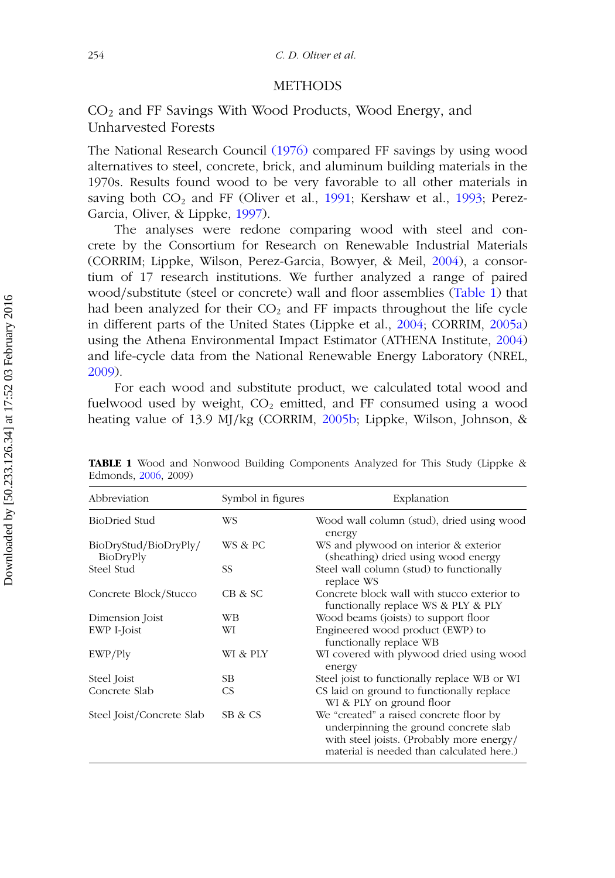## METHODS

## CO2 and FF Savings With Wood Products, Wood Energy, and Unharvested Forests

The National Research Council [\(1976\)](#page-26-7) compared FF savings by using wood alternatives to steel, concrete, brick, and aluminum building materials in the 1970s. Results found wood to be very favorable to all other materials in saving both  $CO<sub>2</sub>$  and FF (Oliver et al., [1991;](#page-27-1) Kershaw et al., [1993;](#page-25-5) Perez-Garcia, Oliver, & Lippke, [1997\)](#page-27-13).

The analyses were redone comparing wood with steel and concrete by the Consortium for Research on Renewable Industrial Materials (CORRIM; Lippke, Wilson, Perez-Garcia, Bowyer, & Meil, [2004\)](#page-26-8), a consortium of 17 research institutions. We further analyzed a range of paired wood*/*substitute (steel or concrete) wall and floor assemblies [\(Table 1\)](#page-7-0) that had been analyzed for their  $CO<sub>2</sub>$  and FF impacts throughout the life cycle in different parts of the United States (Lippke et al., [2004;](#page-26-8) CORRIM, [2005a\)](#page-24-7) using the Athena Environmental Impact Estimator (ATHENA Institute, [2004\)](#page-23-1) and life-cycle data from the National Renewable Energy Laboratory (NREL, [2009\)](#page-26-9).

For each wood and substitute product, we calculated total wood and fuelwood used by weight,  $CO<sub>2</sub>$  emitted, and FF consumed using a wood heating value of 13.9 MJ*/*kg (CORRIM, [2005b;](#page-24-8) Lippke, Wilson, Johnson, &

<span id="page-7-0"></span>

| Abbreviation                       | Symbol in figures | Explanation                                                                                                                                                                |
|------------------------------------|-------------------|----------------------------------------------------------------------------------------------------------------------------------------------------------------------------|
| BioDried Stud                      | WS                | Wood wall column (stud), dried using wood<br>energy                                                                                                                        |
| BioDryStud/BioDryPly/<br>BioDryPly | WS & PC           | WS and plywood on interior & exterior<br>(sheathing) dried using wood energy                                                                                               |
| Steel Stud                         | SS                | Steel wall column (stud) to functionally<br>replace WS                                                                                                                     |
| Concrete Block/Stucco              | CB & SC           | Concrete block wall with stucco exterior to<br>functionally replace WS & PLY & PLY                                                                                         |
| Dimension Joist                    | WВ                | Wood beams (joists) to support floor                                                                                                                                       |
| EWP I-Joist                        | WI                | Engineered wood product (EWP) to<br>functionally replace WB                                                                                                                |
| EWP/Ply                            | WI & PLY          | WI covered with plywood dried using wood<br>energy                                                                                                                         |
| Steel Joist                        | SB.               | Steel joist to functionally replace WB or WI                                                                                                                               |
| Concrete Slab                      | <b>CS</b>         | CS laid on ground to functionally replace<br>WI & PLY on ground floor                                                                                                      |
| Steel Joist/Concrete Slab          | SB & CS           | We "created" a raised concrete floor by<br>underpinning the ground concrete slab<br>with steel joists. (Probably more energy/<br>material is needed than calculated here.) |

**TABLE 1** Wood and Nonwood Building Components Analyzed for This Study (Lippke & Edmonds, [2006,](#page-26-10) 2009)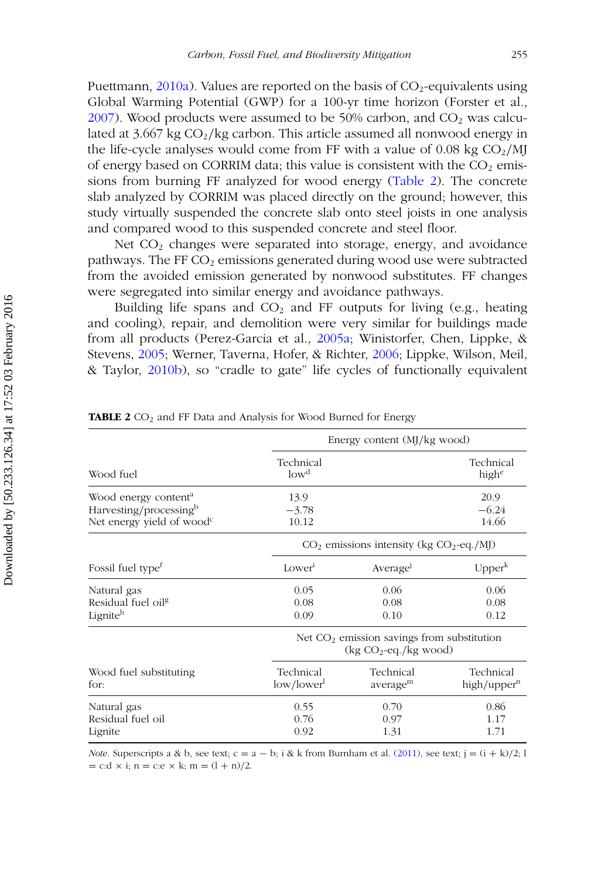Puettmann,  $2010a$ ). Values are reported on the basis of  $CO_2$ -equivalents using Global Warming Potential (GWP) for a 100-yr time horizon (Forster et al.,  $2007$ ). Wood products were assumed to be 50% carbon, and  $CO<sub>2</sub>$  was calculated at  $3.667$  kg  $CO<sub>2</sub>/kg$  carbon. This article assumed all nonwood energy in the life-cycle analyses would come from FF with a value of 0.08 kg CO<sub>2</sub>/MJ of energy based on CORRIM data; this value is consistent with the  $CO<sub>2</sub>$  emissions from burning FF analyzed for wood energy [\(Table 2\)](#page-8-0). The concrete slab analyzed by CORRIM was placed directly on the ground; however, this study virtually suspended the concrete slab onto steel joists in one analysis and compared wood to this suspended concrete and steel floor.

Net  $CO<sub>2</sub>$  changes were separated into storage, energy, and avoidance pathways. The FF  $CO<sub>2</sub>$  emissions generated during wood use were subtracted from the avoided emission generated by nonwood substitutes. FF changes were segregated into similar energy and avoidance pathways.

Building life spans and  $CO<sub>2</sub>$  and FF outputs for living (e.g., heating and cooling), repair, and demolition were very similar for buildings made from all products (Perez-Garcia et al., [2005a;](#page-27-14) Winistorfer, Chen, Lippke, & Stevens, [2005;](#page-28-11) Werner, Taverna, Hofer, & Richter, [2006;](#page-28-12) Lippke, Wilson, Meil, & Taylor, [2010b\)](#page-26-12), so "cradle to gate" life cycles of functionally equivalent

<span id="page-8-0"></span>

|                                                                                                     | Energy content (MJ/kg wood)                                                      |                                              |                                      |  |
|-----------------------------------------------------------------------------------------------------|----------------------------------------------------------------------------------|----------------------------------------------|--------------------------------------|--|
| Wood fuel                                                                                           | Technical<br>low <sup>d</sup>                                                    |                                              | Technical<br>highe                   |  |
| Wood energy content <sup>a</sup><br>Harvesting/processingb<br>Net energy yield of wood <sup>c</sup> | 13.9<br>$-3.78$<br>10.12                                                         |                                              | 20.9<br>$-6.24$<br>14.66             |  |
|                                                                                                     |                                                                                  | $CO2$ emissions intensity (kg $CO2$ -eq./MJ) |                                      |  |
| Fossil fuel type <sup>t</sup>                                                                       | Lower                                                                            | Average                                      | Upper <sup>k</sup>                   |  |
| Natural gas<br>Residual fuel oil <sup>g</sup><br>Ligniteh                                           | 0.05<br>0.08<br>0.09                                                             | 0.06<br>0.08<br>0.10                         | 0.06<br>0.08<br>0.12                 |  |
|                                                                                                     | Net CO <sub>2</sub> emission savings from substitution<br>$(kg CO2-eq./kg wood)$ |                                              |                                      |  |
| Wood fuel substituting<br>for:                                                                      | Technical<br>low/lower <sup>1</sup>                                              | Technical<br>average <sup>m</sup>            | Technical<br>high/upper <sup>n</sup> |  |
| Natural gas<br>Residual fuel oil<br>Lignite                                                         | 0.55<br>0.76<br>0.92                                                             | 0.70<br>0.97<br>1.31                         | 0.86<br>1.17<br>1.71                 |  |

TABLE 2 CO<sub>2</sub> and FF Data and Analysis for Wood Burned for Energy

*Note*. Superscripts a & b, see text;  $c = a - b$ ; i & k from Burnham et al. [\(2011\),](#page-24-10) see text;  $j = (i + k)/2$ ; l  $= c: d \times i$ ; n = c:e  $\times k$ ; m =  $(l + n)/2$ .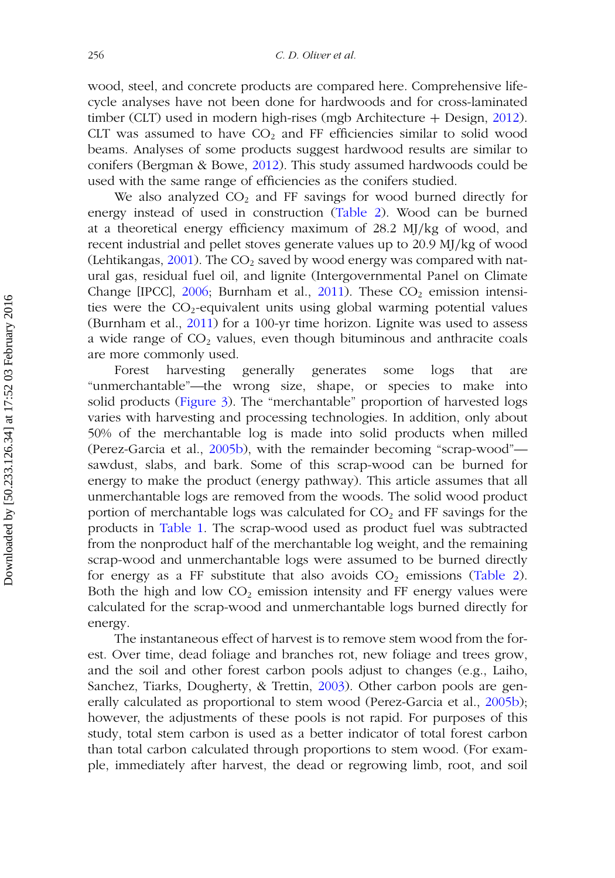wood, steel, and concrete products are compared here. Comprehensive lifecycle analyses have not been done for hardwoods and for cross-laminated timber (CLT) used in modern high-rises (mgb Architecture + Design, [2012\)](#page-26-0). CLT was assumed to have  $CO<sub>2</sub>$  and FF efficiencies similar to solid wood beams. Analyses of some products suggest hardwood results are similar to conifers (Bergman & Bowe, [2012\)](#page-23-2). This study assumed hardwoods could be used with the same range of efficiencies as the conifers studied.

We also analyzed  $CO<sub>2</sub>$  and FF savings for wood burned directly for energy instead of used in construction [\(Table 2\)](#page-8-0). Wood can be burned at a theoretical energy efficiency maximum of 28.2 MJ*/*kg of wood, and recent industrial and pellet stoves generate values up to 20.9 MJ*/*kg of wood (Lehtikangas, [2001\)](#page-26-13). The  $CO<sub>2</sub>$  saved by wood energy was compared with natural gas, residual fuel oil, and lignite (Intergovernmental Panel on Climate Change [IPCC],  $2006$ ; Burnham et al.,  $2011$ ). These  $CO<sub>2</sub>$  emission intensities were the  $CO_2$ -equivalent units using global warming potential values (Burnham et al., [2011\)](#page-24-10) for a 100-yr time horizon. Lignite was used to assess a wide range of  $CO<sub>2</sub>$  values, even though bituminous and anthracite coals are more commonly used.

Forest harvesting generally generates some logs that are "unmerchantable"—the wrong size, shape, or species to make into solid products [\(Figure 3\)](#page-10-0). The "merchantable" proportion of harvested logs varies with harvesting and processing technologies. In addition, only about 50% of the merchantable log is made into solid products when milled (Perez-Garcia et al., [2005b\)](#page-27-0), with the remainder becoming "scrap-wood" sawdust, slabs, and bark. Some of this scrap-wood can be burned for energy to make the product (energy pathway). This article assumes that all unmerchantable logs are removed from the woods. The solid wood product portion of merchantable logs was calculated for  $CO<sub>2</sub>$  and FF savings for the products in [Table 1.](#page-7-0) The scrap-wood used as product fuel was subtracted from the nonproduct half of the merchantable log weight, and the remaining scrap-wood and unmerchantable logs were assumed to be burned directly for energy as a FF substitute that also avoids  $CO<sub>2</sub>$  emissions [\(Table 2\)](#page-8-0). Both the high and low  $CO<sub>2</sub>$  emission intensity and FF energy values were calculated for the scrap-wood and unmerchantable logs burned directly for energy.

The instantaneous effect of harvest is to remove stem wood from the forest. Over time, dead foliage and branches rot, new foliage and trees grow, and the soil and other forest carbon pools adjust to changes (e.g., Laiho, Sanchez, Tiarks, Dougherty, & Trettin, [2003\)](#page-25-12). Other carbon pools are generally calculated as proportional to stem wood (Perez-Garcia et al., [2005b\)](#page-27-0); however, the adjustments of these pools is not rapid. For purposes of this study, total stem carbon is used as a better indicator of total forest carbon than total carbon calculated through proportions to stem wood. (For example, immediately after harvest, the dead or regrowing limb, root, and soil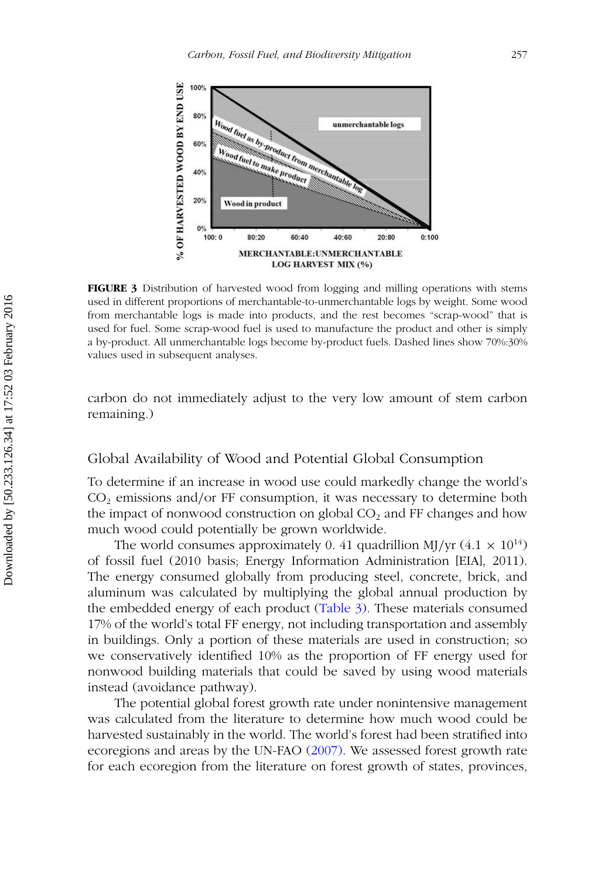<span id="page-10-0"></span>

**FIGURE 3** Distribution of harvested wood from logging and milling operations with stems used in different proportions of merchantable-to-unmerchantable logs by weight. Some wood from merchantable logs is made into products, and the rest becomes "scrap-wood" that is used for fuel. Some scrap-wood fuel is used to manufacture the product and other is simply a by-product. All unmerchantable logs become by-product fuels. Dashed lines show 70%:30% values used in subsequent analyses.

carbon do not immediately adjust to the very low amount of stem carbon remaining.)

## Global Availability of Wood and Potential Global Consumption

To determine if an increase in wood use could markedly change the world's CO2 emissions and*/*or FF consumption, it was necessary to determine both the impact of nonwood construction on global  $CO<sub>2</sub>$  and FF changes and how much wood could potentially be grown worldwide.

The world consumes approximately 0.41 quadrillion MJ/yr  $(4.1 \times 10^{14})$ of fossil fuel (2010 basis; Energy Information Administration [EIA], 2011). The energy consumed globally from producing steel, concrete, brick, and aluminum was calculated by multiplying the global annual production by the embedded energy of each product [\(Table 3\)](#page-11-0). These materials consumed 17% of the world's total FF energy, not including transportation and assembly in buildings. Only a portion of these materials are used in construction; so we conservatively identified 10% as the proportion of FF energy used for nonwood building materials that could be saved by using wood materials instead (avoidance pathway).

The potential global forest growth rate under nonintensive management was calculated from the literature to determine how much wood could be harvested sustainably in the world. The world's forest had been stratified into ecoregions and areas by the UN-FAO [\(2007\).](#page-28-5) We assessed forest growth rate for each ecoregion from the literature on forest growth of states, provinces,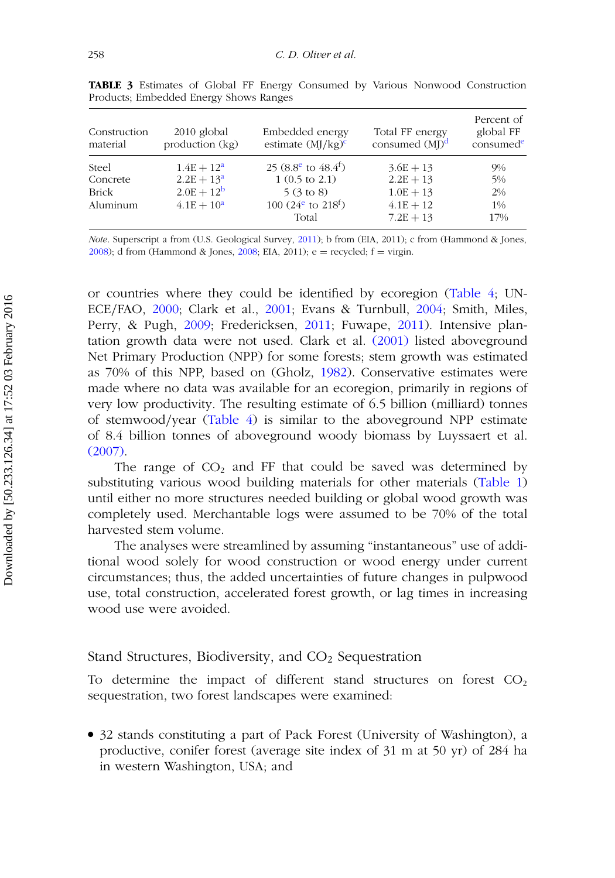<span id="page-11-0"></span>

| Construction<br>material | $2010$ global<br>production (kg) | Embedded energy<br>estimate $(MJ/kg)^c$     | Total FF energy<br>consumed $(MJ)^d$ | Percent of<br>global FF<br>consumed <sup>e</sup> |
|--------------------------|----------------------------------|---------------------------------------------|--------------------------------------|--------------------------------------------------|
| Steel                    | $1.4E + 12^a$                    | 25 (8.8 <sup>e</sup> to 48.4 <sup>f</sup> ) | $3.6E + 13$                          | 9%                                               |
| Concrete                 | $2.2E + 13a$                     | $1(0.5 \text{ to } 2.1)$                    | $2.2E + 13$                          | 5%                                               |
| Brick                    | $2.0E + 12^{b}$                  | $5(3 \text{ to } 8)$                        | $1.0E + 13$                          | $2\%$                                            |
| Aluminum                 | $4.1E + 10^a$                    | 100 $(24^e$ to 218 <sup>f</sup> )<br>Total  | $4.1E + 12$<br>$7.2E + 13$           | 1%<br>17%                                        |

**TABLE 3** Estimates of Global FF Energy Consumed by Various Nonwood Construction Products; Embedded Energy Shows Ranges

*Note*. Superscript a from (U.S. Geological Survey, [2011\)](#page-28-13); b from (EIA, 2011); c from (Hammond & Jones, [2008\)](#page-25-13); d from (Hammond & Jones, [2008;](#page-25-13) EIA, 2011);  $e =$  recycled;  $f =$  virgin.

or countries where they could be identified by ecoregion [\(Table 4;](#page-12-0) UN-ECE*/*FAO, [2000;](#page-28-14) Clark et al., [2001;](#page-24-11) Evans & Turnbull, [2004;](#page-24-12) Smith, Miles, Perry, & Pugh, [2009;](#page-28-15) Fredericksen, [2011;](#page-24-13) Fuwape, [2011\)](#page-24-14). Intensive plantation growth data were not used. Clark et al. [\(2001\)](#page-24-11) listed aboveground Net Primary Production (NPP) for some forests; stem growth was estimated as 70% of this NPP, based on (Gholz, [1982\)](#page-25-14). Conservative estimates were made where no data was available for an ecoregion, primarily in regions of very low productivity. The resulting estimate of 6.5 billion (milliard) tonnes of stemwood*/*year [\(Table 4\)](#page-12-0) is similar to the aboveground NPP estimate of 8.4 billion tonnes of aboveground woody biomass by Luyssaert et al. [\(2007\).](#page-26-5)

The range of  $CO<sub>2</sub>$  and FF that could be saved was determined by substituting various wood building materials for other materials [\(Table 1\)](#page-7-0) until either no more structures needed building or global wood growth was completely used. Merchantable logs were assumed to be 70% of the total harvested stem volume.

The analyses were streamlined by assuming "instantaneous" use of additional wood solely for wood construction or wood energy under current circumstances; thus, the added uncertainties of future changes in pulpwood use, total construction, accelerated forest growth, or lag times in increasing wood use were avoided.

## Stand Structures, Biodiversity, and  $CO<sub>2</sub>$  Sequestration

To determine the impact of different stand structures on forest  $CO<sub>2</sub>$ sequestration, two forest landscapes were examined:

● 32 stands constituting a part of Pack Forest (University of Washington), a productive, conifer forest (average site index of 31 m at 50 yr) of 284 ha in western Washington, USA; and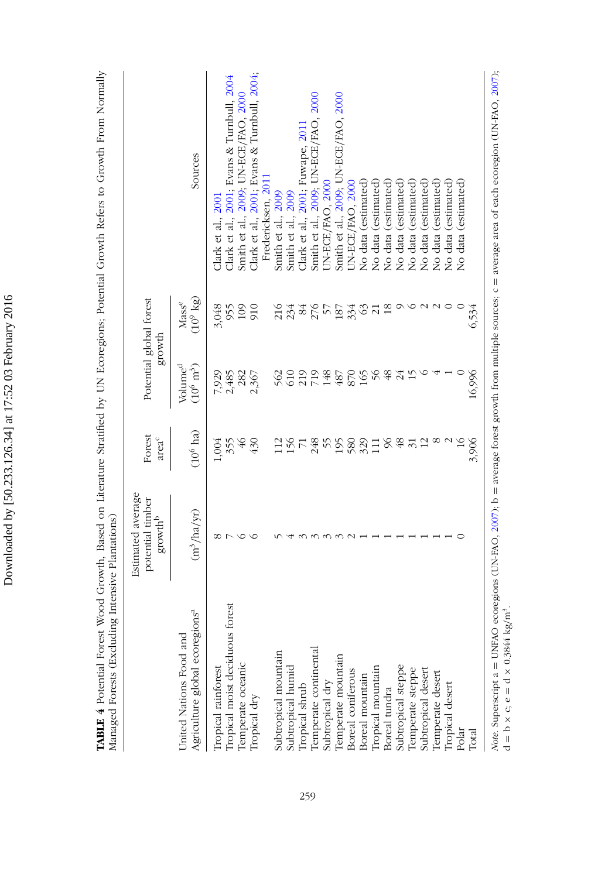Downloaded by [50.233.126.34] at 17:52 03 February 2016 Downloaded by [50.233.126.34] at 17:52 03 February 2016 TABLE 4 Potential Forest Wood Growth, Based on Literature Stratified by UN Ecoregions; Potential Growth Refers to Growth From Normally<br>Managed Forests (Excluding Intensive Plantations) **TABLE 4** Potential Forest Wood Growth, Based on Literature Stratified by UN Ecoregions; Potential Growth Refers to Growth From Normally Managed Forests (Excluding Intensive Plantations)

|                                                                       | Estimated average<br>potential timber<br>$\ensuremath{\mathsf{growth}}^\ensuremath{\mathsf{b}}$ | Forest<br>areac     | Potential global forest                   | growth                       |                                             |
|-----------------------------------------------------------------------|-------------------------------------------------------------------------------------------------|---------------------|-------------------------------------------|------------------------------|---------------------------------------------|
| Agriculture global ecoregions <sup>a</sup><br>United Nations Food and | $(m^3/ha/yr)$                                                                                   | $(10^6 \text{ ha})$ | Volume <sup>d</sup><br>$(10^6~{\rm m}^3)$ | $(10^9 \text{ kg})$<br>Masse | Sources                                     |
|                                                                       | ∞                                                                                               | 1,004               | 7,929                                     | 3,048                        | Clark et al., $2001$                        |
| Tropical rainforest<br>Tropical moist deciduous forest                |                                                                                                 | 355                 | 2,485                                     | 955                          | Clark et al., 2001; Evans & Turnbull, 2004  |
|                                                                       | ○                                                                                               | $\sqrt{46}$         | 282                                       | 109                          | Smith et al., 2009, UN-ECE/FAO, 2000        |
| Temperate oceanic<br>Tropical dry                                     | ≌                                                                                               | 430                 | 2,367                                     | 910                          | Clark et al., 2001; Evans & Turnbull, 2004; |
|                                                                       |                                                                                                 |                     |                                           |                              | Fredericksen. 2011                          |
| Subtropical mountain                                                  |                                                                                                 | $\Xi$               | 562                                       | 216                          | Smith et al., 2009                          |
| Subtropical humid                                                     |                                                                                                 |                     | 610                                       | 234                          | Smith et al., 2009                          |
| Iropical shrub                                                        |                                                                                                 | $rac{56}{71}$       | 219                                       | 84                           | Clark et al., 2001, Fuwape, 2011            |
| Temperate continental                                                 |                                                                                                 | 248                 | 718                                       |                              | Smith et al., 2009; UN-ECE/FAO, 2000        |
| Subtropical dry                                                       |                                                                                                 |                     |                                           | 276<br>57                    | JN-ECE/FAO, 2000                            |
| Temperate mountain                                                    |                                                                                                 | 55<br>580           | 487                                       |                              | Smith et al., 2009; UN-ECE/FAO, 2000        |
|                                                                       |                                                                                                 |                     | 870                                       | 187                          | UN-ECE/FAO, 2000                            |
| Boreal coniferous<br>Boreal mountain                                  |                                                                                                 | 329                 | 165                                       | 63                           | No data (estimated)                         |
| Tropical mountain                                                     |                                                                                                 |                     | $\frac{6}{5}$                             | $\overline{z}$               | No data (estimated)                         |
| Boreal tundra                                                         |                                                                                                 | 96                  | 48                                        | $\frac{8}{2}$                | No data (estimated)                         |
| Subtropical steppe                                                    |                                                                                                 | 48                  | 24                                        | ⌒                            | No data (estimated)                         |
| Temperate steppe                                                      |                                                                                                 | $\overline{31}$     | 15                                        | ≌                            | No data (estimated                          |
| Subtropical desert                                                    |                                                                                                 |                     |                                           |                              | No data (estimated)                         |
| Temperate desert                                                      |                                                                                                 |                     |                                           | $\sim$                       | No data (estimated)                         |
| Tropical desert                                                       |                                                                                                 |                     |                                           |                              | No data (estimated)                         |
| Polar                                                                 |                                                                                                 |                     |                                           |                              | No data (estimated)                         |
| Total                                                                 |                                                                                                 | 3,906               | 16,996                                    | 6,534                        |                                             |

<span id="page-12-0"></span> $200/3$ *Note*. Superscript a = UNFAO ecoregions (UN-FAO, [2007\)](#page-28-5); b = average forest growth from multiple sources; c = average area of each ecoregion (UN-FAO, [2007\)](#page-28-5); )<br>E ecoregion eacii<br>S 5 Ed<br>D ₹ erage ć Ď, ٦ iorest Srowin morritments eran<br>B ב Ķ, É Note. Superscript a = UNEAO ecoregion<br>d = b x c; e = d x 0.3844 kg/m<sup>3</sup>.  $d = b \times c$ ;  $e = d \times 0.3844$  kg/m<sup>3</sup>.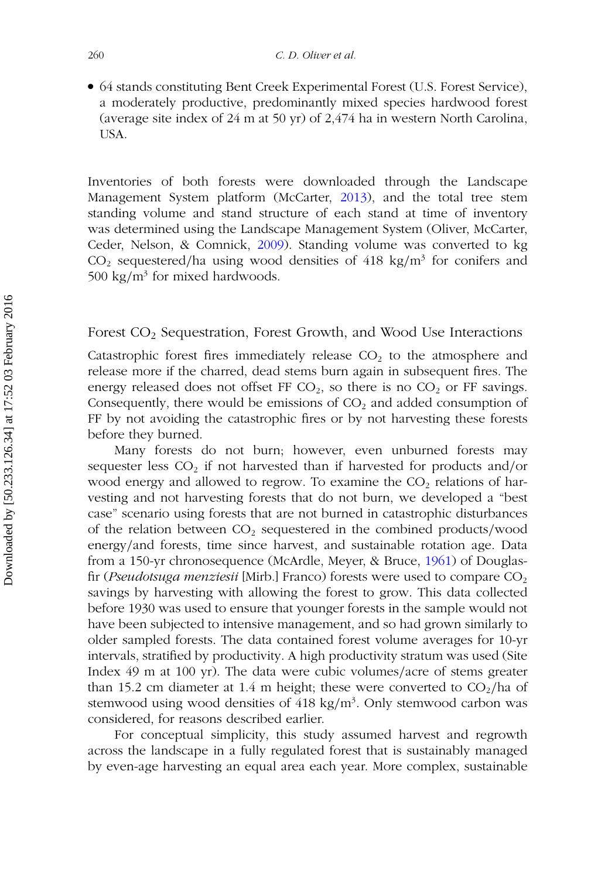● 64 stands constituting Bent Creek Experimental Forest (U.S. Forest Service), a moderately productive, predominantly mixed species hardwood forest (average site index of 24 m at 50 yr) of 2,474 ha in western North Carolina, USA.

Inventories of both forests were downloaded through the Landscape Management System platform (McCarter, [2013\)](#page-26-14), and the total tree stem standing volume and stand structure of each stand at time of inventory was determined using the Landscape Management System (Oliver, McCarter, Ceder, Nelson, & Comnick, [2009\)](#page-27-15). Standing volume was converted to kg CO2 sequestered*/*ha using wood densities of 418 kg*/*m3 for conifers and 500 kg/ $m^3$  for mixed hardwoods.

Forest CO2 Sequestration, Forest Growth, and Wood Use Interactions

Catastrophic forest fires immediately release  $CO<sub>2</sub>$  to the atmosphere and release more if the charred, dead stems burn again in subsequent fires. The energy released does not offset FF  $CO<sub>2</sub>$ , so there is no  $CO<sub>2</sub>$  or FF savings. Consequently, there would be emissions of  $CO<sub>2</sub>$  and added consumption of FF by not avoiding the catastrophic fires or by not harvesting these forests before they burned.

Many forests do not burn; however, even unburned forests may sequester less CO<sub>2</sub> if not harvested than if harvested for products and/or wood energy and allowed to regrow. To examine the  $CO<sub>2</sub>$  relations of harvesting and not harvesting forests that do not burn, we developed a "best case" scenario using forests that are not burned in catastrophic disturbances of the relation between CO2 sequestered in the combined products*/*wood energy*/*and forests, time since harvest, and sustainable rotation age. Data from a 150-yr chronosequence (McArdle, Meyer, & Bruce, [1961\)](#page-26-15) of Douglasfir (*Pseudotsuga menziesii* [Mirb.] Franco) forests were used to compare CO<sub>2</sub> savings by harvesting with allowing the forest to grow. This data collected before 1930 was used to ensure that younger forests in the sample would not have been subjected to intensive management, and so had grown similarly to older sampled forests. The data contained forest volume averages for 10-yr intervals, stratified by productivity. A high productivity stratum was used (Site Index 49 m at 100 yr). The data were cubic volumes*/*acre of stems greater than 15.2 cm diameter at 1.4 m height; these were converted to  $CO<sub>2</sub>/ha$  of stemwood using wood densities of 418 kg/m<sup>3</sup>. Only stemwood carbon was considered, for reasons described earlier.

For conceptual simplicity, this study assumed harvest and regrowth across the landscape in a fully regulated forest that is sustainably managed by even-age harvesting an equal area each year. More complex, sustainable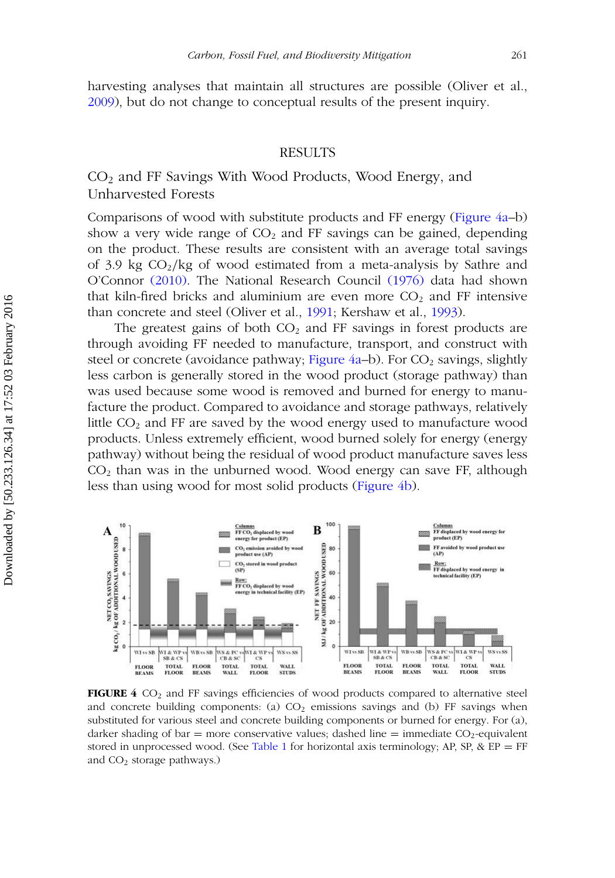harvesting analyses that maintain all structures are possible (Oliver et al., [2009\)](#page-27-15), but do not change to conceptual results of the present inquiry.

## RESULTS

## $CO<sub>2</sub>$  and FF Savings With Wood Products, Wood Energy, and Unharvested Forests

Comparisons of wood with substitute products and FF energy [\(Figure 4a–](#page-14-0)b) show a very wide range of  $CO<sub>2</sub>$  and FF savings can be gained, depending on the product. These results are consistent with an average total savings of 3.9 kg CO2*/*kg of wood estimated from a meta-analysis by Sathre and O'Connor [\(2010\).](#page-28-16) The National Research Council [\(1976\)](#page-26-7) data had shown that kiln-fired bricks and aluminium are even more  $CO<sub>2</sub>$  and FF intensive than concrete and steel (Oliver et al., [1991;](#page-27-1) Kershaw et al., [1993\)](#page-25-5).

The greatest gains of both  $CO<sub>2</sub>$  and FF savings in forest products are through avoiding FF needed to manufacture, transport, and construct with steel or concrete (avoidance pathway; Figure  $4a-b$ ). For  $CO<sub>2</sub>$  savings, slightly less carbon is generally stored in the wood product (storage pathway) than was used because some wood is removed and burned for energy to manufacture the product. Compared to avoidance and storage pathways, relatively little  $CO<sub>2</sub>$  and FF are saved by the wood energy used to manufacture wood products. Unless extremely efficient, wood burned solely for energy (energy pathway) without being the residual of wood product manufacture saves less  $CO<sub>2</sub>$  than was in the unburned wood. Wood energy can save FF, although less than using wood for most solid products [\(Figure 4b\)](#page-14-0).

<span id="page-14-0"></span>

**FIGURE 4** CO<sub>2</sub> and FF savings efficiencies of wood products compared to alternative steel and concrete building components: (a)  $CO<sub>2</sub>$  emissions savings and (b) FF savings when substituted for various steel and concrete building components or burned for energy. For (a), darker shading of bar = more conservative values; dashed line = immediate  $CO<sub>2</sub>$ -equivalent stored in unprocessed wood. (See [Table 1](#page-7-0) for horizontal axis terminology; AP, SP, &  $EP = FF$ and  $CO<sub>2</sub>$  storage pathways.)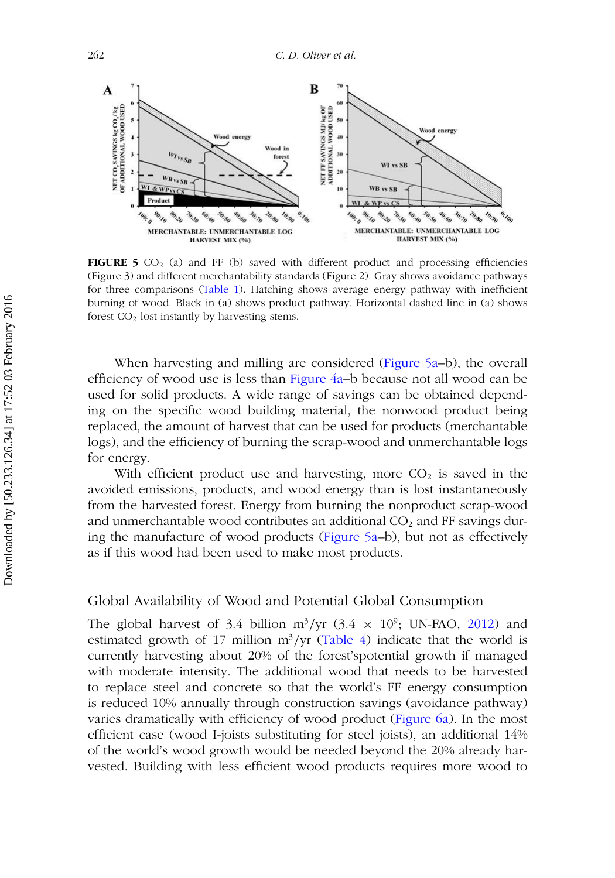<span id="page-15-0"></span>

**FIGURE 5**  $CO<sub>2</sub>$  (a) and FF (b) saved with different product and processing efficiencies (Figure 3) and different merchantability standards (Figure 2). Gray shows avoidance pathways for three comparisons [\(Table 1\)](#page-7-0). Hatching shows average energy pathway with inefficient burning of wood. Black in (a) shows product pathway. Horizontal dashed line in (a) shows forest  $CO<sub>2</sub>$  lost instantly by harvesting stems.

When harvesting and milling are considered [\(Figure 5a–](#page-15-0)b), the overall efficiency of wood use is less than [Figure 4a–](#page-14-0)b because not all wood can be used for solid products. A wide range of savings can be obtained depending on the specific wood building material, the nonwood product being replaced, the amount of harvest that can be used for products (merchantable logs), and the efficiency of burning the scrap-wood and unmerchantable logs for energy.

With efficient product use and harvesting, more  $CO<sub>2</sub>$  is saved in the avoided emissions, products, and wood energy than is lost instantaneously from the harvested forest. Energy from burning the nonproduct scrap-wood and unmerchantable wood contributes an additional  $CO<sub>2</sub>$  and FF savings during the manufacture of wood products [\(Figure 5a–](#page-15-0)b), but not as effectively as if this wood had been used to make most products.

## Global Availability of Wood and Potential Global Consumption

The global harvest of 3.4 billion  $m^3/yr$  (3.4  $\times$  10<sup>9</sup>; UN-FAO, [2012\)](#page-28-17) and estimated growth of 17 million  $m^3/yr$  [\(Table 4\)](#page-12-0) indicate that the world is currently harvesting about 20% of the forest'spotential growth if managed with moderate intensity. The additional wood that needs to be harvested to replace steel and concrete so that the world's FF energy consumption is reduced 10% annually through construction savings (avoidance pathway) varies dramatically with efficiency of wood product [\(Figure 6a\)](#page-16-0). In the most efficient case (wood I-joists substituting for steel joists), an additional 14% of the world's wood growth would be needed beyond the 20% already harvested. Building with less efficient wood products requires more wood to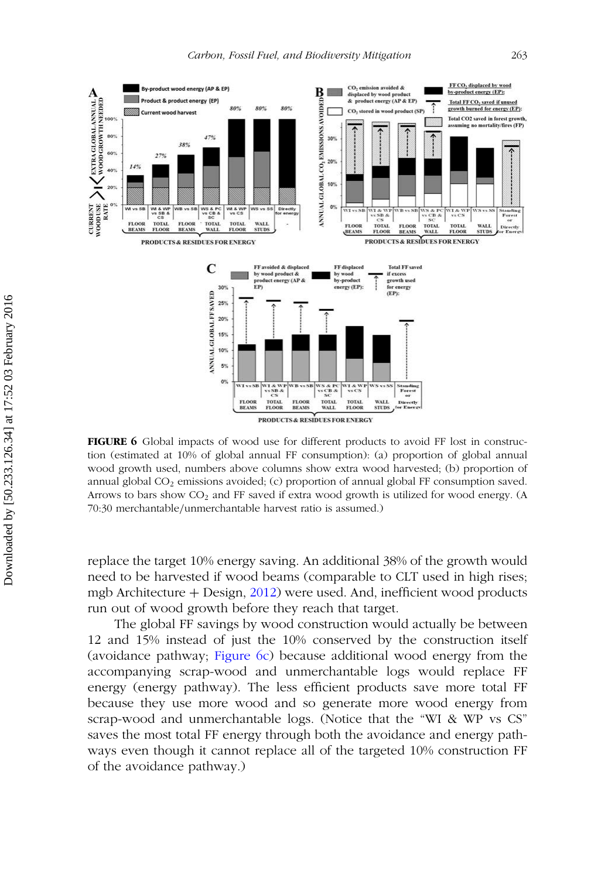<span id="page-16-0"></span>

**FIGURE 6** Global impacts of wood use for different products to avoid FF lost in construction (estimated at 10% of global annual FF consumption): (a) proportion of global annual wood growth used, numbers above columns show extra wood harvested; (b) proportion of annual global  $CO<sub>2</sub>$  emissions avoided; (c) proportion of annual global FF consumption saved. Arrows to bars show CO2 and FF saved if extra wood growth is utilized for wood energy. (A 70:30 merchantable*/*unmerchantable harvest ratio is assumed.)

replace the target 10% energy saving. An additional 38% of the growth would need to be harvested if wood beams (comparable to CLT used in high rises; mgb Architecture  $+$  Design, [2012\)](#page-26-0) were used. And, inefficient wood products run out of wood growth before they reach that target.

The global FF savings by wood construction would actually be between 12 and 15% instead of just the 10% conserved by the construction itself (avoidance pathway; [Figure 6c\)](#page-16-0) because additional wood energy from the accompanying scrap-wood and unmerchantable logs would replace FF energy (energy pathway). The less efficient products save more total FF because they use more wood and so generate more wood energy from scrap-wood and unmerchantable logs. (Notice that the "WI & WP vs CS" saves the most total FF energy through both the avoidance and energy pathways even though it cannot replace all of the targeted 10% construction FF of the avoidance pathway.)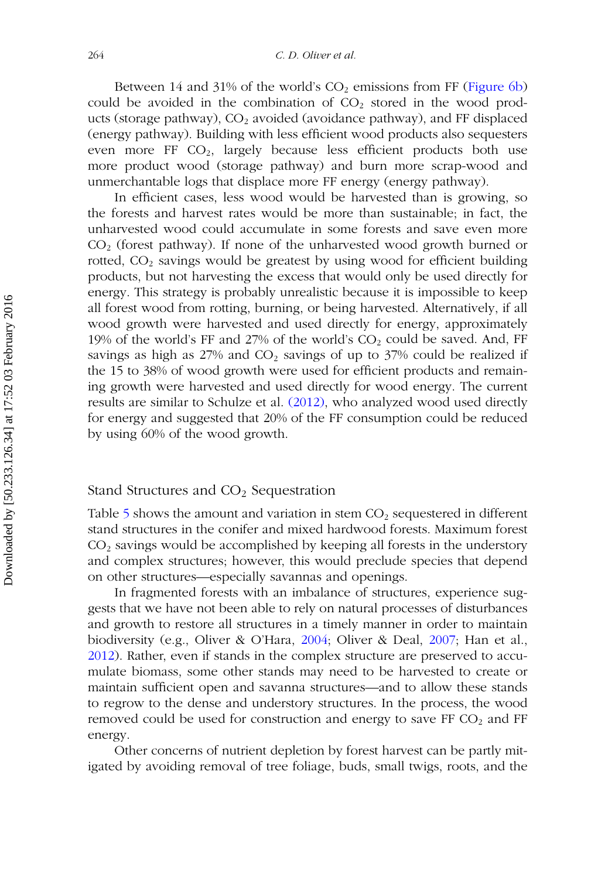Between 14 and 31% of the world's  $CO<sub>2</sub>$  emissions from FF [\(Figure 6b\)](#page-16-0) could be avoided in the combination of  $CO<sub>2</sub>$  stored in the wood products (storage pathway),  $CO<sub>2</sub>$  avoided (avoidance pathway), and FF displaced (energy pathway). Building with less efficient wood products also sequesters even more FF  $CO<sub>2</sub>$ , largely because less efficient products both use more product wood (storage pathway) and burn more scrap-wood and unmerchantable logs that displace more FF energy (energy pathway).

In efficient cases, less wood would be harvested than is growing, so the forests and harvest rates would be more than sustainable; in fact, the unharvested wood could accumulate in some forests and save even more  $CO<sub>2</sub>$  (forest pathway). If none of the unharvested wood growth burned or rotted,  $CO<sub>2</sub>$  savings would be greatest by using wood for efficient building products, but not harvesting the excess that would only be used directly for energy. This strategy is probably unrealistic because it is impossible to keep all forest wood from rotting, burning, or being harvested. Alternatively, if all wood growth were harvested and used directly for energy, approximately 19% of the world's FF and 27% of the world's  $CO<sub>2</sub>$  could be saved. And, FF savings as high as  $27\%$  and  $CO<sub>2</sub>$  savings of up to  $37\%$  could be realized if the 15 to 38% of wood growth were used for efficient products and remaining growth were harvested and used directly for wood energy. The current results are similar to Schulze et al. [\(2012\),](#page-28-6) who analyzed wood used directly for energy and suggested that 20% of the FF consumption could be reduced by using 60% of the wood growth.

## Stand Structures and  $CO<sub>2</sub>$  Sequestration

Table [5](#page-18-0) shows the amount and variation in stem  $CO<sub>2</sub>$  sequestered in different stand structures in the conifer and mixed hardwood forests. Maximum forest  $CO<sub>2</sub>$  savings would be accomplished by keeping all forests in the understory and complex structures; however, this would preclude species that depend on other structures—especially savannas and openings.

In fragmented forests with an imbalance of structures, experience suggests that we have not been able to rely on natural processes of disturbances and growth to restore all structures in a timely manner in order to maintain biodiversity (e.g., Oliver & O'Hara, [2004;](#page-27-9) Oliver & Deal, [2007;](#page-27-8) Han et al., [2012\)](#page-25-10). Rather, even if stands in the complex structure are preserved to accumulate biomass, some other stands may need to be harvested to create or maintain sufficient open and savanna structures—and to allow these stands to regrow to the dense and understory structures. In the process, the wood removed could be used for construction and energy to save FF  $CO<sub>2</sub>$  and FF energy.

Other concerns of nutrient depletion by forest harvest can be partly mitigated by avoiding removal of tree foliage, buds, small twigs, roots, and the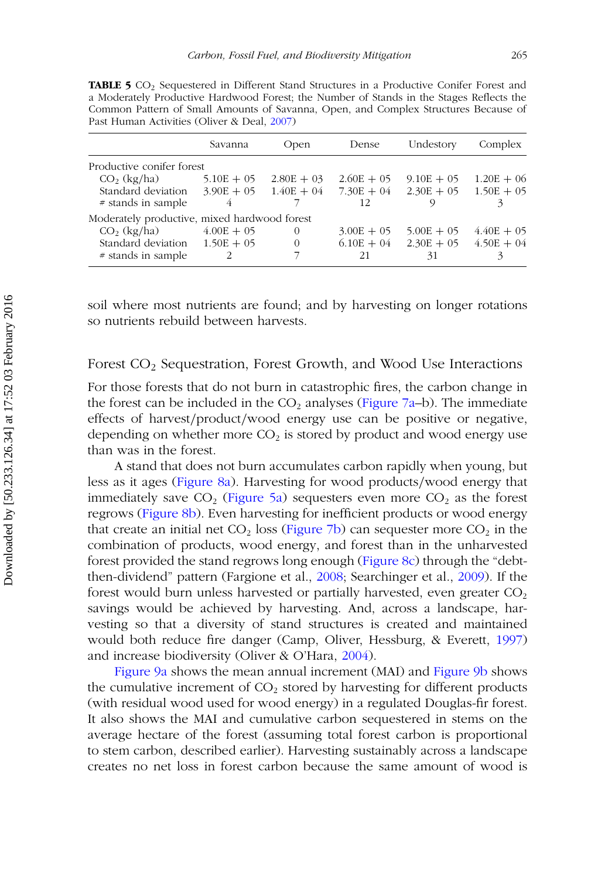**TABLE 5** CO<sub>2</sub> Sequestered in Different Stand Structures in a Productive Conifer Forest and a Moderately Productive Hardwood Forest; the Number of Stands in the Stages Reflects the Common Pattern of Small Amounts of Savanna, Open, and Complex Structures Because of Past Human Activities (Oliver & Deal, [2007\)](#page-27-8)

<span id="page-18-0"></span>

|                                              | Savanna      | Open         | Dense        | Undestory                              | Complex      |
|----------------------------------------------|--------------|--------------|--------------|----------------------------------------|--------------|
| Productive conifer forest                    |              |              |              |                                        |              |
| CO <sub>2</sub> (kg/ha)                      | $5.10E + 05$ | $2.80E + 03$ | $2.60E + 05$ | $9.10E + 05$                           | $1.20E + 06$ |
| Standard deviation $3.90E + 05$ $1.40E + 04$ |              |              |              | $7.30E + 04$ $2.30E + 05$ $1.50E + 05$ |              |
| # stands in sample                           |              |              | 12           |                                        |              |
| Moderately productive, mixed hardwood forest |              |              |              |                                        |              |
| $CO2$ (kg/ha)                                | $4.00E + 05$ | 0            | $3.00E + 05$ | $5.00E + 05$                           | $4.40E + 05$ |
| Standard deviation $1.50E + 05$              |              | $\Omega$     |              | $6.10E + 04$ $2.30E + 05$              | $4.50E + 04$ |
| # stands in sample                           |              |              | 21           | 31                                     |              |

soil where most nutrients are found; and by harvesting on longer rotations so nutrients rebuild between harvests.

## Forest CO2 Sequestration, Forest Growth, and Wood Use Interactions

For those forests that do not burn in catastrophic fires, the carbon change in the forest can be included in the  $CO<sub>2</sub>$  analyses [\(Figure 7a–](#page-19-0)b). The immediate effects of harvest*/*product*/*wood energy use can be positive or negative, depending on whether more  $CO<sub>2</sub>$  is stored by product and wood energy use than was in the forest.

A stand that does not burn accumulates carbon rapidly when young, but less as it ages [\(Figure 8a\)](#page-20-0). Harvesting for wood products*/*wood energy that immediately save  $CO<sub>2</sub>$  [\(Figure 5a\)](#page-15-0) sequesters even more  $CO<sub>2</sub>$  as the forest regrows [\(Figure 8b\)](#page-20-0). Even harvesting for inefficient products or wood energy that create an initial net  $CO<sub>2</sub>$  loss [\(Figure 7b\)](#page-19-0) can sequester more  $CO<sub>2</sub>$  in the combination of products, wood energy, and forest than in the unharvested forest provided the stand regrows long enough [\(Figure 8c\)](#page-20-0) through the "debtthen-dividend" pattern (Fargione et al., [2008;](#page-24-0) Searchinger et al., [2009\)](#page-28-1). If the forest would burn unless harvested or partially harvested, even greater  $CO<sub>2</sub>$ savings would be achieved by harvesting. And, across a landscape, harvesting so that a diversity of stand structures is created and maintained would both reduce fire danger (Camp, Oliver, Hessburg, & Everett, [1997\)](#page-24-15) and increase biodiversity (Oliver & O'Hara, [2004\)](#page-27-9).

[Figure 9a](#page-21-0) shows the mean annual increment (MAI) and [Figure 9b](#page-21-0) shows the cumulative increment of  $CO<sub>2</sub>$  stored by harvesting for different products (with residual wood used for wood energy) in a regulated Douglas-fir forest. It also shows the MAI and cumulative carbon sequestered in stems on the average hectare of the forest (assuming total forest carbon is proportional to stem carbon, described earlier). Harvesting sustainably across a landscape creates no net loss in forest carbon because the same amount of wood is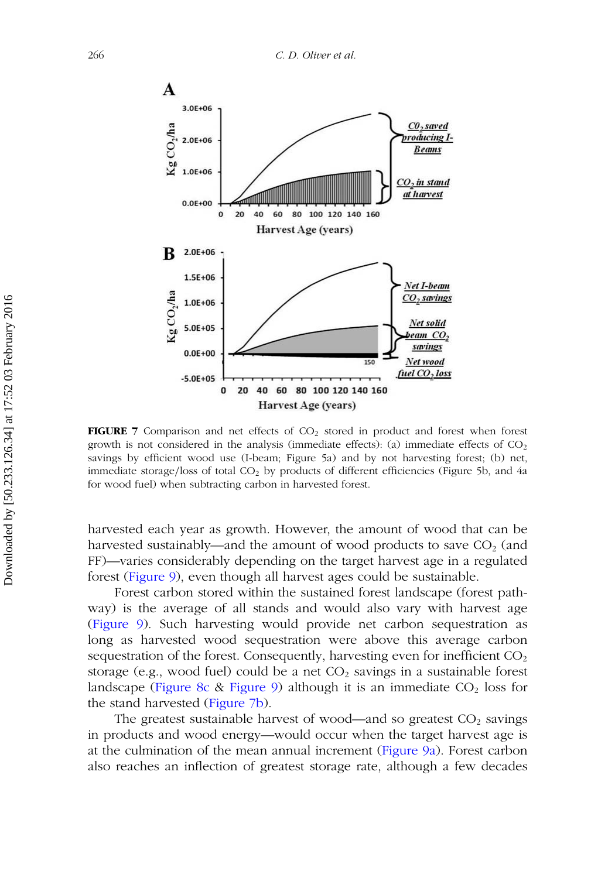<span id="page-19-0"></span>

**FIGURE 7** Comparison and net effects of  $CO<sub>2</sub>$  stored in product and forest when forest growth is not considered in the analysis (immediate effects): (a) immediate effects of  $CO<sub>2</sub>$ savings by efficient wood use (I-beam; Figure 5a) and by not harvesting forest; (b) net, immediate storage/loss of total CO<sub>2</sub> by products of different efficiencies (Figure 5b, and 4a for wood fuel) when subtracting carbon in harvested forest.

harvested each year as growth. However, the amount of wood that can be harvested sustainably—and the amount of wood products to save  $CO<sub>2</sub>$  (and FF)—varies considerably depending on the target harvest age in a regulated forest [\(Figure 9\)](#page-21-0), even though all harvest ages could be sustainable.

Forest carbon stored within the sustained forest landscape (forest pathway) is the average of all stands and would also vary with harvest age [\(Figure 9\)](#page-21-0). Such harvesting would provide net carbon sequestration as long as harvested wood sequestration were above this average carbon sequestration of the forest. Consequently, harvesting even for inefficient  $CO<sub>2</sub>$ storage (e.g., wood fuel) could be a net  $CO<sub>2</sub>$  savings in a sustainable forest landscape [\(Figure 8c](#page-20-0) & [Figure 9\)](#page-21-0) although it is an immediate  $CO<sub>2</sub>$  loss for the stand harvested [\(Figure 7b\)](#page-19-0).

The greatest sustainable harvest of wood—and so greatest  $CO<sub>2</sub>$  savings in products and wood energy—would occur when the target harvest age is at the culmination of the mean annual increment [\(Figure 9a\)](#page-21-0). Forest carbon also reaches an inflection of greatest storage rate, although a few decades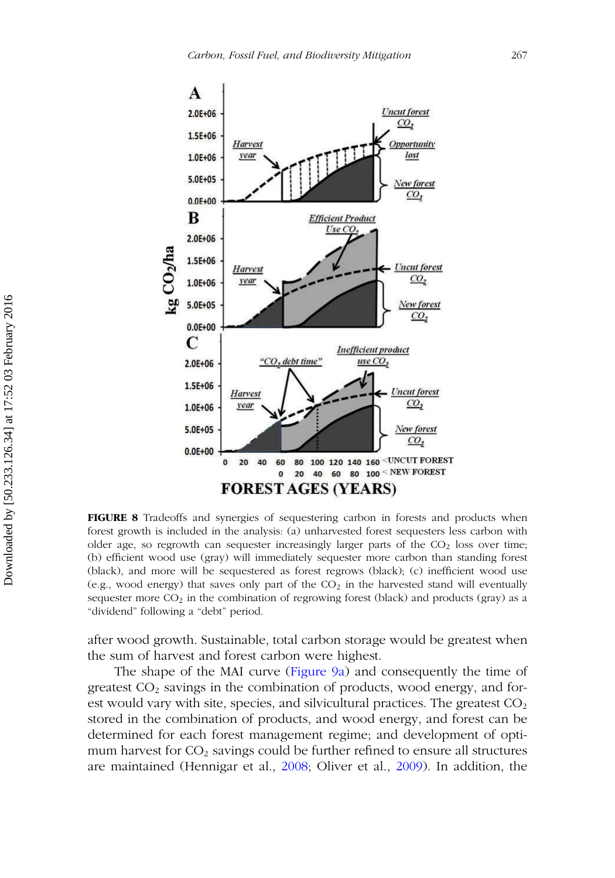<span id="page-20-0"></span>

**FIGURE 8** Tradeoffs and synergies of sequestering carbon in forests and products when forest growth is included in the analysis: (a) unharvested forest sequesters less carbon with older age, so regrowth can sequester increasingly larger parts of the  $CO<sub>2</sub>$  loss over time; (b) efficient wood use (gray) will immediately sequester more carbon than standing forest (black), and more will be sequestered as forest regrows (black); (c) inefficient wood use (e.g., wood energy) that saves only part of the  $CO<sub>2</sub>$  in the harvested stand will eventually sequester more  $CO<sub>2</sub>$  in the combination of regrowing forest (black) and products (gray) as a "dividend" following a "debt" period.

after wood growth. Sustainable, total carbon storage would be greatest when the sum of harvest and forest carbon were highest.

The shape of the MAI curve [\(Figure 9a\)](#page-21-0) and consequently the time of greatest  $CO<sub>2</sub>$  savings in the combination of products, wood energy, and forest would vary with site, species, and silvicultural practices. The greatest  $CO<sub>2</sub>$ stored in the combination of products, and wood energy, and forest can be determined for each forest management regime; and development of optimum harvest for  $CO<sub>2</sub>$  savings could be further refined to ensure all structures are maintained (Hennigar et al., [2008;](#page-25-0) Oliver et al., [2009\)](#page-27-15). In addition, the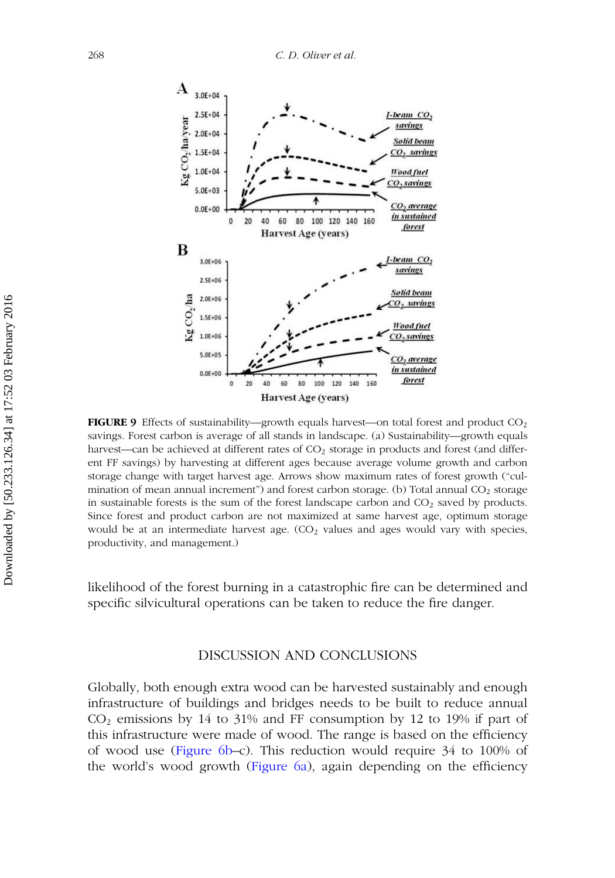<span id="page-21-0"></span>

**FIGURE 9** Effects of sustainability—growth equals harvest—on total forest and product CO<sub>2</sub> savings. Forest carbon is average of all stands in landscape. (a) Sustainability—growth equals harvest—can be achieved at different rates of CO<sub>2</sub> storage in products and forest (and different FF savings) by harvesting at different ages because average volume growth and carbon storage change with target harvest age. Arrows show maximum rates of forest growth ("culmination of mean annual increment") and forest carbon storage. (b) Total annual  $CO<sub>2</sub>$  storage in sustainable forests is the sum of the forest landscape carbon and  $CO<sub>2</sub>$  saved by products. Since forest and product carbon are not maximized at same harvest age, optimum storage would be at an intermediate harvest age.  $(CO<sub>2</sub>)$  values and ages would vary with species, productivity, and management.)

likelihood of the forest burning in a catastrophic fire can be determined and specific silvicultural operations can be taken to reduce the fire danger.

## DISCUSSION AND CONCLUSIONS

Globally, both enough extra wood can be harvested sustainably and enough infrastructure of buildings and bridges needs to be built to reduce annual  $CO<sub>2</sub>$  emissions by 14 to 31% and FF consumption by 12 to 19% if part of this infrastructure were made of wood. The range is based on the efficiency of wood use [\(Figure 6b–](#page-16-0)c). This reduction would require 34 to 100% of the world's wood growth [\(Figure 6a\)](#page-16-0), again depending on the efficiency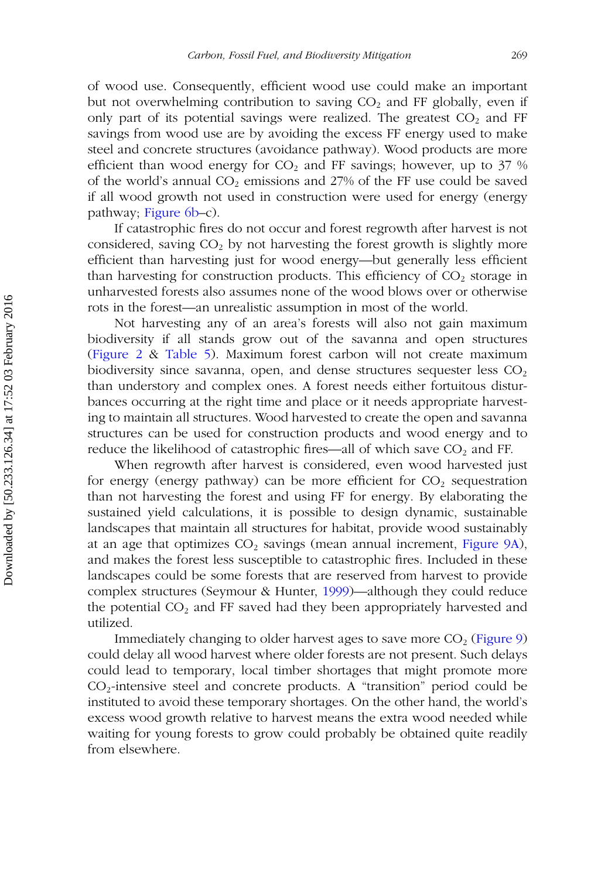of wood use. Consequently, efficient wood use could make an important but not overwhelming contribution to saving  $CO<sub>2</sub>$  and FF globally, even if only part of its potential savings were realized. The greatest  $CO<sub>2</sub>$  and FF savings from wood use are by avoiding the excess FF energy used to make steel and concrete structures (avoidance pathway). Wood products are more efficient than wood energy for  $CO<sub>2</sub>$  and FF savings; however, up to 37 % of the world's annual  $CO<sub>2</sub>$  emissions and 27% of the FF use could be saved if all wood growth not used in construction were used for energy (energy pathway; [Figure 6b–](#page-16-0)c).

If catastrophic fires do not occur and forest regrowth after harvest is not considered, saving  $CO<sub>2</sub>$  by not harvesting the forest growth is slightly more efficient than harvesting just for wood energy—but generally less efficient than harvesting for construction products. This efficiency of  $CO<sub>2</sub>$  storage in unharvested forests also assumes none of the wood blows over or otherwise rots in the forest—an unrealistic assumption in most of the world.

Not harvesting any of an area's forests will also not gain maximum biodiversity if all stands grow out of the savanna and open structures [\(Figure 2](#page-5-0) & [Table 5\)](#page-18-0). Maximum forest carbon will not create maximum biodiversity since savanna, open, and dense structures sequester less  $CO<sub>2</sub>$ than understory and complex ones. A forest needs either fortuitous disturbances occurring at the right time and place or it needs appropriate harvesting to maintain all structures. Wood harvested to create the open and savanna structures can be used for construction products and wood energy and to reduce the likelihood of catastrophic fires—all of which save  $CO<sub>2</sub>$  and FF.

When regrowth after harvest is considered, even wood harvested just for energy (energy pathway) can be more efficient for  $CO<sub>2</sub>$  sequestration than not harvesting the forest and using FF for energy. By elaborating the sustained yield calculations, it is possible to design dynamic, sustainable landscapes that maintain all structures for habitat, provide wood sustainably at an age that optimizes  $CO<sub>2</sub>$  savings (mean annual increment, [Figure 9A\)](#page-21-0), and makes the forest less susceptible to catastrophic fires. Included in these landscapes could be some forests that are reserved from harvest to provide complex structures (Seymour & Hunter, [1999\)](#page-28-8)—although they could reduce the potential  $CO<sub>2</sub>$  and FF saved had they been appropriately harvested and utilized.

Immediately changing to older harvest ages to save more  $CO<sub>2</sub>$  [\(Figure 9\)](#page-21-0) could delay all wood harvest where older forests are not present. Such delays could lead to temporary, local timber shortages that might promote more CO2-intensive steel and concrete products. A "transition" period could be instituted to avoid these temporary shortages. On the other hand, the world's excess wood growth relative to harvest means the extra wood needed while waiting for young forests to grow could probably be obtained quite readily from elsewhere.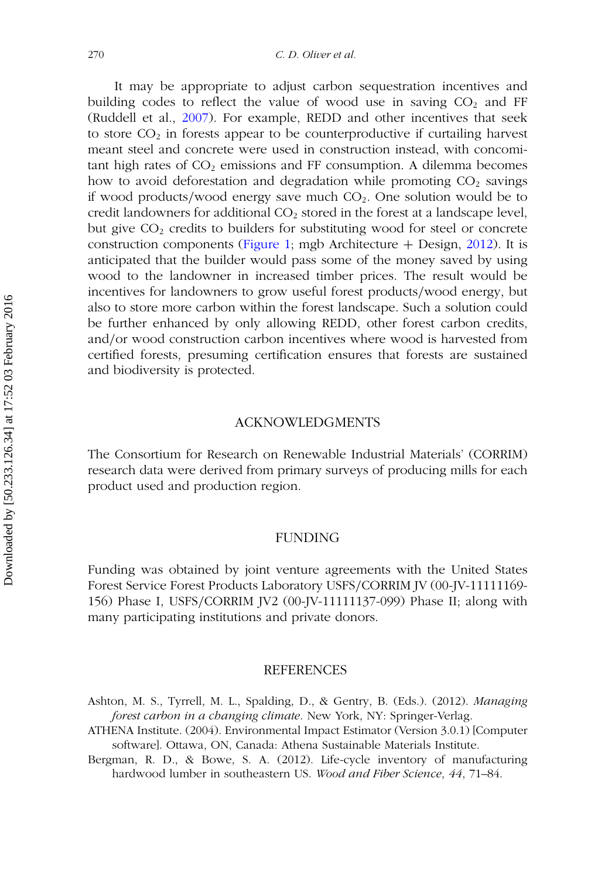It may be appropriate to adjust carbon sequestration incentives and building codes to reflect the value of wood use in saving  $CO<sub>2</sub>$  and FF (Ruddell et al., [2007\)](#page-27-12). For example, REDD and other incentives that seek to store  $CO<sub>2</sub>$  in forests appear to be counterproductive if curtailing harvest meant steel and concrete were used in construction instead, with concomitant high rates of  $CO<sub>2</sub>$  emissions and FF consumption. A dilemma becomes how to avoid deforestation and degradation while promoting  $CO<sub>2</sub>$  savings if wood products/wood energy save much CO<sub>2</sub>. One solution would be to credit landowners for additional  $CO<sub>2</sub>$  stored in the forest at a landscape level, but give  $CO<sub>2</sub>$  credits to builders for substituting wood for steel or concrete construction components [\(Figure 1;](#page-3-0) mgb Architecture  $+$  Design, [2012\)](#page-26-0). It is anticipated that the builder would pass some of the money saved by using wood to the landowner in increased timber prices. The result would be incentives for landowners to grow useful forest products*/*wood energy, but also to store more carbon within the forest landscape. Such a solution could be further enhanced by only allowing REDD, other forest carbon credits, and*/*or wood construction carbon incentives where wood is harvested from certified forests, presuming certification ensures that forests are sustained and biodiversity is protected.

## ACKNOWLEDGMENTS

The Consortium for Research on Renewable Industrial Materials' (CORRIM) research data were derived from primary surveys of producing mills for each product used and production region.

## FUNDING

Funding was obtained by joint venture agreements with the United States Forest Service Forest Products Laboratory USFS*/*CORRIM JV (00-JV-11111169- 156) Phase I, USFS*/*CORRIM JV2 (00-JV-11111137-099) Phase II; along with many participating institutions and private donors.

#### **REFERENCES**

- <span id="page-23-0"></span>Ashton, M. S., Tyrrell, M. L., Spalding, D., & Gentry, B. (Eds.). (2012). *Managing forest carbon in a changing climate*. New York, NY: Springer-Verlag.
- <span id="page-23-1"></span>ATHENA Institute. (2004). Environmental Impact Estimator (Version 3.0.1) [Computer software]. Ottawa, ON, Canada: Athena Sustainable Materials Institute.
- <span id="page-23-2"></span>Bergman, R. D., & Bowe, S. A. (2012). Life-cycle inventory of manufacturing hardwood lumber in southeastern US. *Wood and Fiber Science*, *44*, 71–84.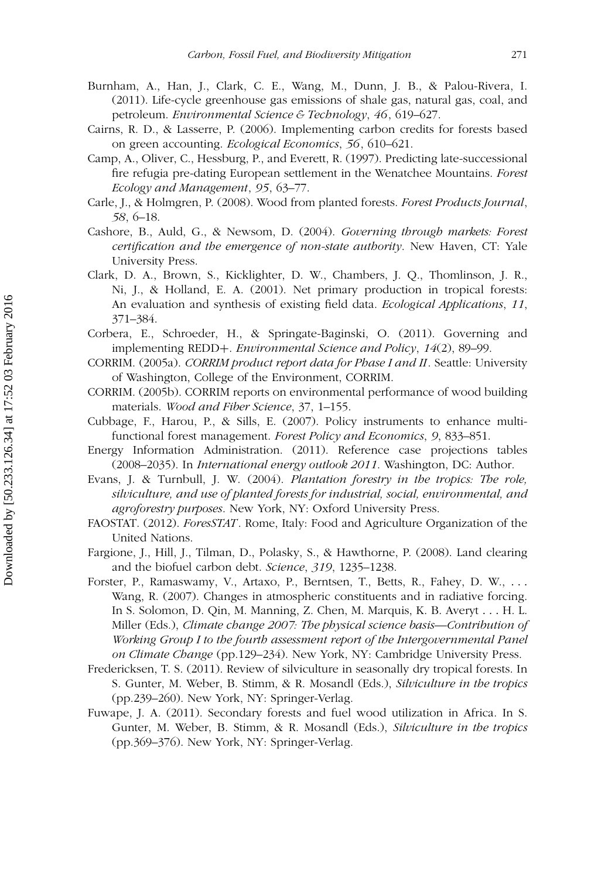- <span id="page-24-10"></span>Burnham, A., Han, J., Clark, C. E., Wang, M., Dunn, J. B., & Palou-Rivera, I. (2011). Life-cycle greenhouse gas emissions of shale gas, natural gas, coal, and petroleum. *Environmental Science & Technology*, *46*, 619–627.
- <span id="page-24-4"></span>Cairns, R. D., & Lasserre, P. (2006). Implementing carbon credits for forests based on green accounting. *Ecological Economics*, *56*, 610–621.
- <span id="page-24-15"></span>Camp, A., Oliver, C., Hessburg, P., and Everett, R. (1997). Predicting late-successional fire refugia pre-dating European settlement in the Wenatchee Mountains. *Forest Ecology and Management*, *95*, 63–77.
- <span id="page-24-2"></span>Carle, J., & Holmgren, P. (2008). Wood from planted forests. *Forest Products Journal*, *58*, 6–18.
- <span id="page-24-3"></span>Cashore, B., Auld, G., & Newsom, D. (2004). *Governing through markets: Forest certification and the emergence of non-state authority*. New Haven, CT: Yale University Press.
- <span id="page-24-11"></span>Clark, D. A., Brown, S., Kicklighter, D. W., Chambers, J. Q., Thomlinson, J. R., Ni, J., & Holland, E. A. (2001). Net primary production in tropical forests: An evaluation and synthesis of existing field data. *Ecological Applications*, *11*, 371–384.
- <span id="page-24-5"></span>Corbera, E., Schroeder, H., & Springate-Baginski, O. (2011). Governing and implementing REDD+. *Environmental Science and Policy*, *14*(2), 89–99.
- <span id="page-24-7"></span>CORRIM. (2005a). *CORRIM product report data for Phase I and II*. Seattle: University of Washington, College of the Environment, CORRIM.
- <span id="page-24-8"></span>CORRIM. (2005b). CORRIM reports on environmental performance of wood building materials. *Wood and Fiber Science*, 37, 1–155.
- <span id="page-24-6"></span>Cubbage, F., Harou, P., & Sills, E. (2007). Policy instruments to enhance multifunctional forest management. *Forest Policy and Economics*, *9*, 833–851.
- Energy Information Administration. (2011). Reference case projections tables (2008–2035). In *International energy outlook 2011*. Washington, DC: Author.
- <span id="page-24-12"></span>Evans, J. & Turnbull, J. W. (2004). *Plantation forestry in the tropics: The role, silviculture, and use of planted forests for industrial, social, environmental, and agroforestry purposes*. New York, NY: Oxford University Press.
- <span id="page-24-1"></span>FAOSTAT. (2012). *ForesSTAT* . Rome, Italy: Food and Agriculture Organization of the United Nations.
- <span id="page-24-0"></span>Fargione, J., Hill, J., Tilman, D., Polasky, S., & Hawthorne, P. (2008). Land clearing and the biofuel carbon debt. *Science*, *319*, 1235–1238.
- <span id="page-24-9"></span>Forster, P., Ramaswamy, V., Artaxo, P., Berntsen, T., Betts, R., Fahey, D. W., *...* Wang, R. (2007). Changes in atmospheric constituents and in radiative forcing. In S. Solomon, D. Qin, M. Manning, Z. Chen, M. Marquis, K. B. Averyt *...* H. L. Miller (Eds.), *Climate change 2007: The physical science basis*—*Contribution of Working Group I to the fourth assessment report of the Intergovernmental Panel on Climate Change* (pp.129–234). New York, NY: Cambridge University Press.
- <span id="page-24-13"></span>Fredericksen, T. S. (2011). Review of silviculture in seasonally dry tropical forests. In S. Gunter, M. Weber, B. Stimm, & R. Mosandl (Eds.), *Silviculture in the tropics* (pp.239–260). New York, NY: Springer-Verlag.
- <span id="page-24-14"></span>Fuwape, J. A. (2011). Secondary forests and fuel wood utilization in Africa. In S. Gunter, M. Weber, B. Stimm, & R. Mosandl (Eds.), *Silviculture in the tropics* (pp.369–376). New York, NY: Springer-Verlag.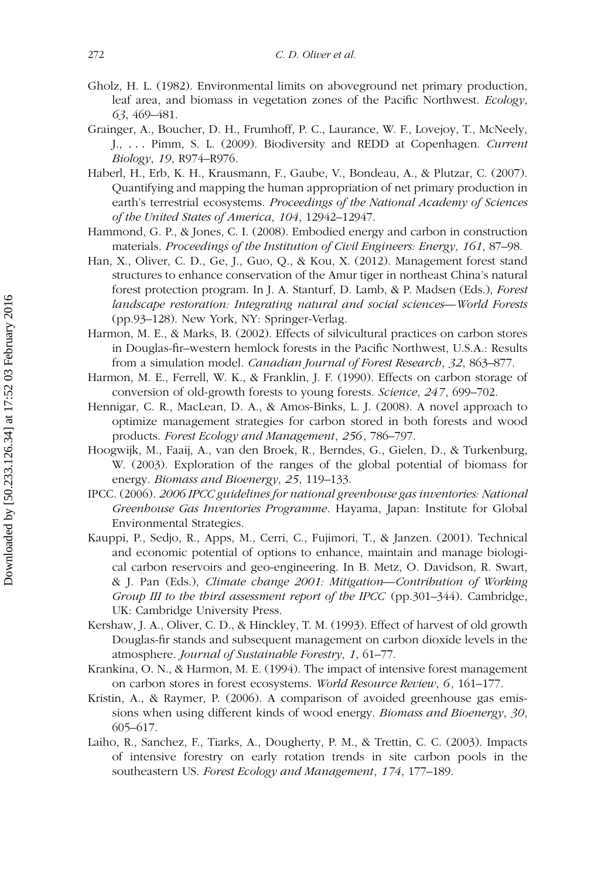- <span id="page-25-14"></span>Gholz, H. L. (1982). Environmental limits on aboveground net primary production, leaf area, and biomass in vegetation zones of the Pacific Northwest. *Ecology*, *63*, 469–481.
- <span id="page-25-9"></span>Grainger, A., Boucher, D. H., Frumhoff, P. C., Laurance, W. F., Lovejoy, T., McNeely, J., *...* Pimm, S. L. (2009). Biodiversity and REDD at Copenhagen. *Current Biology*, *19*, R974–R976.
- <span id="page-25-8"></span>Haberl, H., Erb, K. H., Krausmann, F., Gaube, V., Bondeau, A., & Plutzar, C. (2007). Quantifying and mapping the human appropriation of net primary production in earth's terrestrial ecosystems. *Proceedings of the National Academy of Sciences of the United States of America*, *104*, 12942–12947.
- <span id="page-25-13"></span>Hammond, G. P., & Jones, C. I. (2008). Embodied energy and carbon in construction materials. *Proceedings of the Institution of Civil Engineers: Energy*, *161*, 87–98.
- <span id="page-25-10"></span>Han, X., Oliver, C. D., Ge, J., Guo, Q., & Kou, X. (2012). Management forest stand structures to enhance conservation of the Amur tiger in northeast China's natural forest protection program. In J. A. Stanturf, D. Lamb, & P. Madsen (Eds.), *Forest landscape restoration: Integrating natural and social sciences—World Forests* (pp.93–128). New York, NY: Springer-Verlag.
- <span id="page-25-3"></span>Harmon, M. E., & Marks, B. (2002). Effects of silvicultural practices on carbon stores in Douglas-fir–western hemlock forests in the Pacific Northwest, U.S.A.: Results from a simulation model. *Canadian Journal of Forest Research*, *32*, 863–877.
- <span id="page-25-1"></span>Harmon, M. E., Ferrell, W. K., & Franklin, J. F. (1990). Effects on carbon storage of conversion of old-growth forests to young forests. *Science*, *247*, 699–702.
- <span id="page-25-0"></span>Hennigar, C. R., MacLean, D. A., & Amos-Binks, L. J. (2008). A novel approach to optimize management strategies for carbon stored in both forests and wood products. *Forest Ecology and Management*, *256*, 786–797.
- <span id="page-25-7"></span>Hoogwijk, M., Faaij, A., van den Broek, R., Berndes, G., Gielen, D., & Turkenburg, W. (2003). Exploration of the ranges of the global potential of biomass for energy. *Biomass and Bioenergy*, *25*, 119–133.
- <span id="page-25-11"></span>IPCC. (2006). *2006 IPCC guidelines for national greenhouse gas inventories: National Greenhouse Gas Inventories Programme*. Hayama, Japan: Institute for Global Environmental Strategies.
- <span id="page-25-6"></span>Kauppi, P., Sedjo, R., Apps, M., Cerri, C., Fujimori, T., & Janzen. (2001). Technical and economic potential of options to enhance, maintain and manage biological carbon reservoirs and geo-engineering. In B. Metz, O. Davidson, R. Swart, & J. Pan (Eds.), *Climate change 2001: Mitigation—Contribution of Working Group III to the third assessment report of the IPCC* (pp.301–344). Cambridge, UK: Cambridge University Press.
- <span id="page-25-5"></span>Kershaw, J. A., Oliver, C. D., & Hinckley, T. M. (1993). Effect of harvest of old growth Douglas-fir stands and subsequent management on carbon dioxide levels in the atmosphere. *Journal of Sustainable Forestry*, *1*, 61–77.
- <span id="page-25-2"></span>Krankina, O. N., & Harmon, M. E. (1994). The impact of intensive forest management on carbon stores in forest ecosystems. *World Resource Review*, *6*, 161–177.
- <span id="page-25-4"></span>Kristin, A., & Raymer, P. (2006). A comparison of avoided greenhouse gas emissions when using different kinds of wood energy. *Biomass and Bioenergy*, *30*, 605–617.
- <span id="page-25-12"></span>Laiho, R., Sanchez, F., Tiarks, A., Dougherty, P. M., & Trettin, C. C. (2003). Impacts of intensive forestry on early rotation trends in site carbon pools in the southeastern US. *Forest Ecology and Management*, *174*, 177–189.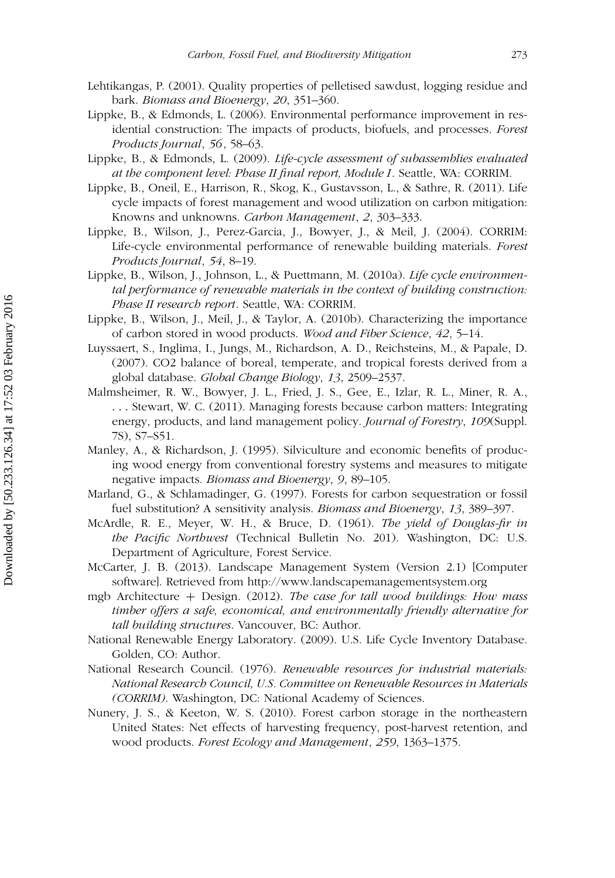- <span id="page-26-13"></span>Lehtikangas, P. (2001). Quality properties of pelletised sawdust, logging residue and bark. *Biomass and Bioenergy*, *20*, 351–360.
- <span id="page-26-10"></span>Lippke, B., & Edmonds, L. (2006). Environmental performance improvement in residential construction: The impacts of products, biofuels, and processes. *Forest Products Journal*, *56*, 58–63.
- Lippke, B., & Edmonds, L. (2009). *Life-cycle assessment of subassemblies evaluated at the component level: Phase II final report, Module I*. Seattle, WA: CORRIM.
- <span id="page-26-1"></span>Lippke, B., Oneil, E., Harrison, R., Skog, K., Gustavsson, L., & Sathre, R. (2011). Life cycle impacts of forest management and wood utilization on carbon mitigation: Knowns and unknowns. *Carbon Management*, *2*, 303–333.
- <span id="page-26-8"></span>Lippke, B., Wilson, J., Perez-Garcia, J., Bowyer, J., & Meil, J. (2004). CORRIM: Life-cycle environmental performance of renewable building materials. *Forest Products Journal*, *54*, 8–19.
- <span id="page-26-11"></span>Lippke, B., Wilson, J., Johnson, L., & Puettmann, M. (2010a). *Life cycle environmental performance of renewable materials in the context of building construction: Phase II research report*. Seattle, WA: CORRIM.
- <span id="page-26-12"></span>Lippke, B., Wilson, J., Meil, J., & Taylor, A. (2010b). Characterizing the importance of carbon stored in wood products. *Wood and Fiber Science*, *42*, 5–14.
- <span id="page-26-5"></span>Luyssaert, S., Inglima, I., Jungs, M., Richardson, A. D., Reichsteins, M., & Papale, D. (2007). CO2 balance of boreal, temperate, and tropical forests derived from a global database. *Global Change Biology*, *13*, 2509–2537.
- <span id="page-26-2"></span>Malmsheimer, R. W., Bowyer, J. L., Fried, J. S., Gee, E., Izlar, R. L., Miner, R. A., *...* Stewart, W. C. (2011). Managing forests because carbon matters: Integrating energy, products, and land management policy. *Journal of Forestry*, *109*(Suppl. 7S), S7–S51.
- <span id="page-26-4"></span>Manley, A., & Richardson, J. (1995). Silviculture and economic benefits of producing wood energy from conventional forestry systems and measures to mitigate negative impacts. *Biomass and Bioenergy*, *9*, 89–105.
- <span id="page-26-6"></span>Marland, G., & Schlamadinger, G. (1997). Forests for carbon sequestration or fossil fuel substitution? A sensitivity analysis. *Biomass and Bioenergy*, *13*, 389–397.
- <span id="page-26-15"></span>McArdle, R. E., Meyer, W. H., & Bruce, D. (1961). *The yield of Douglas-fir in the Pacific Northwest* (Technical Bulletin No. 201). Washington, DC: U.S. Department of Agriculture, Forest Service.
- <span id="page-26-14"></span>McCarter, J. B. (2013). Landscape Management System (Version 2.1) [Computer software]. Retrieved from<http://www.landscapemanagementsystem.org>
- <span id="page-26-0"></span>mgb Architecture + Design. (2012). *The case for tall wood buildings: How mass timber offers a safe, economical, and environmentally friendly alternative for tall building structures*. Vancouver, BC: Author.
- <span id="page-26-9"></span>National Renewable Energy Laboratory. (2009). U.S. Life Cycle Inventory Database. Golden, CO: Author.
- <span id="page-26-7"></span>National Research Council. (1976). *Renewable resources for industrial materials: National Research Council, U.S. Committee on Renewable Resources in Materials (CORRIM)*. Washington, DC: National Academy of Sciences.
- <span id="page-26-3"></span>Nunery, J. S., & Keeton, W. S. (2010). Forest carbon storage in the northeastern United States: Net effects of harvesting frequency, post-harvest retention, and wood products. *Forest Ecology and Management*, *259*, 1363–1375.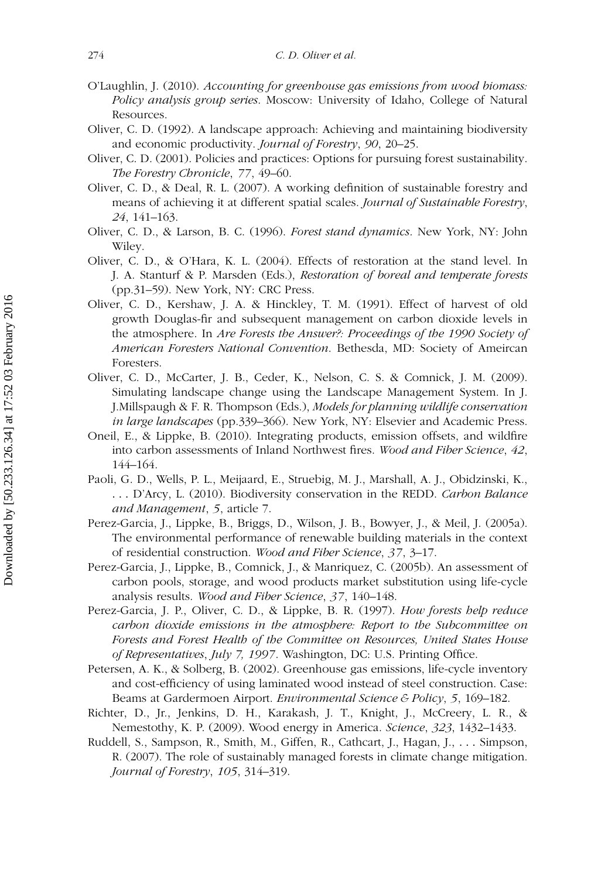- <span id="page-27-3"></span>O'Laughlin, J. (2010). *Accounting for greenhouse gas emissions from wood biomass: Policy analysis group series*. Moscow: University of Idaho, College of Natural Resources.
- <span id="page-27-6"></span>Oliver, C. D. (1992). A landscape approach: Achieving and maintaining biodiversity and economic productivity. *Journal of Forestry*, *90*, 20–25.
- <span id="page-27-4"></span>Oliver, C. D. (2001). Policies and practices: Options for pursuing forest sustainability. *The Forestry Chronicle*, *77*, 49–60.
- <span id="page-27-8"></span>Oliver, C. D., & Deal, R. L. (2007). A working definition of sustainable forestry and means of achieving it at different spatial scales. *Journal of Sustainable Forestry*, *24*, 141–163.
- <span id="page-27-7"></span>Oliver, C. D., & Larson, B. C. (1996). *Forest stand dynamics*. New York, NY: John Wiley.
- <span id="page-27-9"></span>Oliver, C. D., & O'Hara, K. L. (2004). Effects of restoration at the stand level. In J. A. Stanturf & P. Marsden (Eds.), *Restoration of boreal and temperate forests* (pp.31–59). New York, NY: CRC Press.
- <span id="page-27-1"></span>Oliver, C. D., Kershaw, J. A. & Hinckley, T. M. (1991). Effect of harvest of old growth Douglas-fir and subsequent management on carbon dioxide levels in the atmosphere. In *Are Forests the Answer?: Proceedings of the 1990 Society of American Foresters National Convention*. Bethesda, MD: Society of Ameircan Foresters.
- <span id="page-27-15"></span>Oliver, C. D., McCarter, J. B., Ceder, K., Nelson, C. S. & Comnick, J. M. (2009). Simulating landscape change using the Landscape Management System. In J. J.Millspaugh & F. R. Thompson (Eds.), *Models for planning wildlife conservation in large landscapes* (pp.339–366). New York, NY: Elsevier and Academic Press.
- <span id="page-27-10"></span>Oneil, E., & Lippke, B. (2010). Integrating products, emission offsets, and wildfire into carbon assessments of Inland Northwest fires. *Wood and Fiber Science*, *42*, 144–164.
- <span id="page-27-5"></span>Paoli, G. D., Wells, P. L., Meijaard, E., Struebig, M. J., Marshall, A. J., Obidzinski, K., *...* D'Arcy, L. (2010). Biodiversity conservation in the REDD. *Carbon Balance and Management*, *5*, article 7.
- <span id="page-27-14"></span>Perez-Garcia, J., Lippke, B., Briggs, D., Wilson, J. B., Bowyer, J., & Meil, J. (2005a). The environmental performance of renewable building materials in the context of residential construction. *Wood and Fiber Science*, *37*, 3–17.
- <span id="page-27-0"></span>Perez-Garcia, J., Lippke, B., Comnick, J., & Manriquez, C. (2005b). An assessment of carbon pools, storage, and wood products market substitution using life-cycle analysis results. *Wood and Fiber Science*, *37*, 140–148.
- <span id="page-27-13"></span>Perez-Garcia, J. P., Oliver, C. D., & Lippke, B. R. (1997). *How forests help reduce carbon dioxide emissions in the atmosphere: Report to the Subcommittee on Forests and Forest Health of the Committee on Resources, United States House of Representatives*, *July 7, 1997*. Washington, DC: U.S. Printing Office.
- <span id="page-27-2"></span>Petersen, A. K., & Solberg, B. (2002). Greenhouse gas emissions, life-cycle inventory and cost-efficiency of using laminated wood instead of steel construction. Case: Beams at Gardermoen Airport. *Environmental Science & Policy*, *5*, 169–182.
- <span id="page-27-11"></span>Richter, D., Jr., Jenkins, D. H., Karakash, J. T., Knight, J., McCreery, L. R., & Nemestothy, K. P. (2009). Wood energy in America. *Science*, *323*, 1432–1433.
- <span id="page-27-12"></span>Ruddell, S., Sampson, R., Smith, M., Giffen, R., Cathcart, J., Hagan, J., *...* Simpson, R. (2007). The role of sustainably managed forests in climate change mitigation. *Journal of Forestry*, *105*, 314–319.